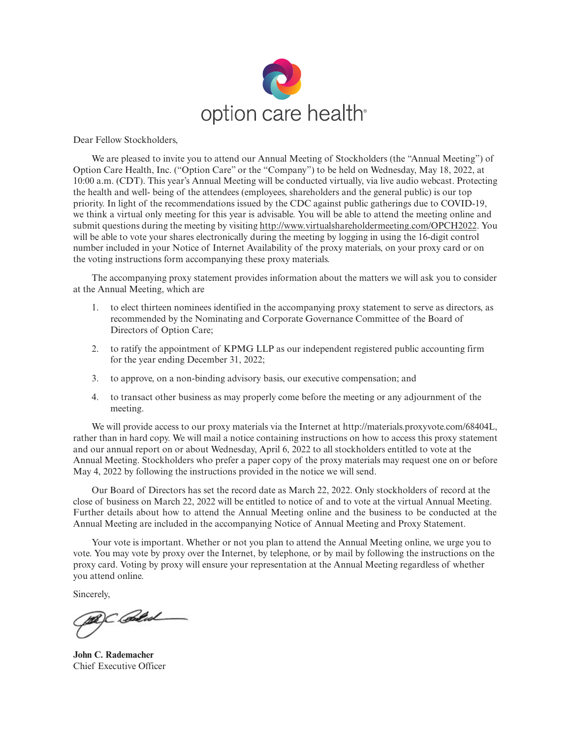

Dear Fellow Stockholders,

We are pleased to invite you to attend our Annual Meeting of Stockholders (the "Annual Meeting") of Option Care Health, Inc. ("Option Care" or the "Company") to be held on Wednesday, May 18, 2022, at 10:00 a.m. (CDT). This year's Annual Meeting will be conducted virtually, via live audio webcast. Protecting the health and well- being of the attendees (employees, shareholders and the general public) is our top priority. In light of the recommendations issued by the CDC against public gatherings due to COVID-19, we think a virtual only meeting for this year is advisable. You will be able to attend the meeting online and submit questions during the meeting by visiting http://www.virtualshareholdermeeting.com/OPCH2022. You will be able to vote your shares electronically during the meeting by logging in using the 16-digit control number included in your Notice of Internet Availability of the proxy materials, on your proxy card or on the voting instructions form accompanying these proxy materials.

The accompanying proxy statement provides information about the matters we will ask you to consider at the Annual Meeting, which are

- 1. to elect thirteen nominees identified in the accompanying proxy statement to serve as directors, as recommended by the Nominating and Corporate Governance Committee of the Board of Directors of Option Care;
- 2. to ratify the appointment of KPMG LLP as our independent registered public accounting firm for the year ending December 31, 2022;
- 3. to approve, on a non-binding advisory basis, our executive compensation; and
- 4. to transact other business as may properly come before the meeting or any adjournment of the meeting.

We will provide access to our proxy materials via the Internet at http://materials.proxyvote.com/68404L, rather than in hard copy. We will mail a notice containing instructions on how to access this proxy statement and our annual report on or about Wednesday, April 6, 2022 to all stockholders entitled to vote at the Annual Meeting. Stockholders who prefer a paper copy of the proxy materials may request one on or before May 4, 2022 by following the instructions provided in the notice we will send.

Our Board of Directors has set the record date as March 22, 2022. Only stockholders of record at the close of business on March 22, 2022 will be entitled to notice of and to vote at the virtual Annual Meeting. Further details about how to attend the Annual Meeting online and the business to be conducted at the Annual Meeting are included in the accompanying Notice of Annual Meeting and Proxy Statement.

Your vote is important. Whether or not you plan to attend the Annual Meeting online, we urge you to vote. You may vote by proxy over the Internet, by telephone, or by mail by following the instructions on the proxy card. Voting by proxy will ensure your representation at the Annual Meeting regardless of whether you attend online.

Sincerely,

BC Blad

**John C. Rademacher** Chief Executive Officer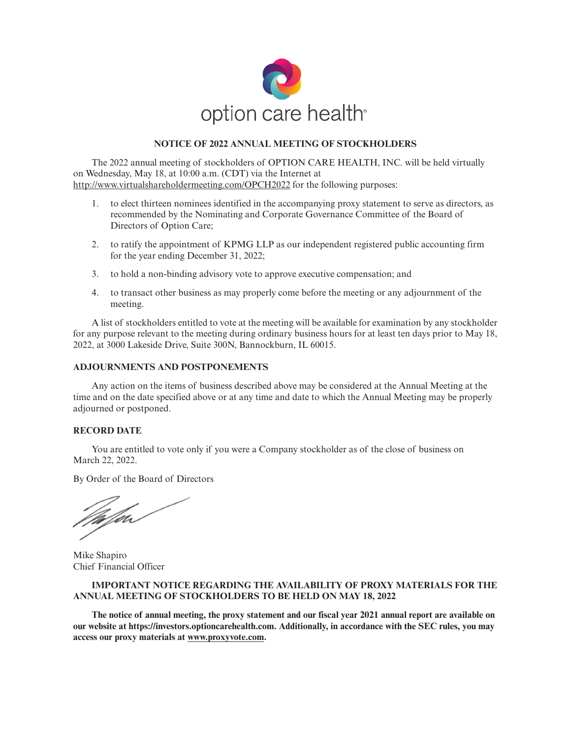

# **NOTICE OF 2022 ANNUAL MEETING OF STOCKHOLDERS**

The 2022 annual meeting of stockholders of OPTION CARE HEALTH, INC. will be held virtually on Wednesday, May 18, at 10:00 a.m. (CDT) via the Internet at http://www.virtualshareholdermeeting.com/OPCH2022 for the following purposes:

- 1. to elect thirteen nominees identified in the accompanying proxy statement to serve as directors, as recommended by the Nominating and Corporate Governance Committee of the Board of Directors of Option Care;
- 2. to ratify the appointment of KPMG LLP as our independent registered public accounting firm for the year ending December 31, 2022;
- 3. to hold a non-binding advisory vote to approve executive compensation; and
- 4. to transact other business as may properly come before the meeting or any adjournment of the meeting.

A list of stockholders entitled to vote at the meeting will be available for examination by any stockholder for any purpose relevant to the meeting during ordinary business hours for at least ten days prior to May 18, 2022, at 3000 Lakeside Drive, Suite 300N, Bannockburn, IL 60015.

# **ADJOURNMENTS AND POSTPONEMENTS**

Any action on the items of business described above may be considered at the Annual Meeting at the time and on the date specified above or at any time and date to which the Annual Meeting may be properly adjourned or postponed.

## **RECORD DATE**

You are entitled to vote only if you were a Company stockholder as of the close of business on March 22, 2022.

By Order of the Board of Directors

*Valjal* 

Mike Shapiro Chief Financial Officer

# **IMPORTANT NOTICE REGARDING THE AVAILABILITY OF PROXY MATERIALS FOR THE ANNUAL MEETING OF STOCKHOLDERS TO BE HELD ON MAY 18, 2022**

**The notice of annual meeting, the proxy statement and our fiscal year 2021 annual report are available on our website at https://investors.optioncarehealth.com. Additionally, in accordance with the SEC rules, you may access our proxy materials at www.proxyvote.com.**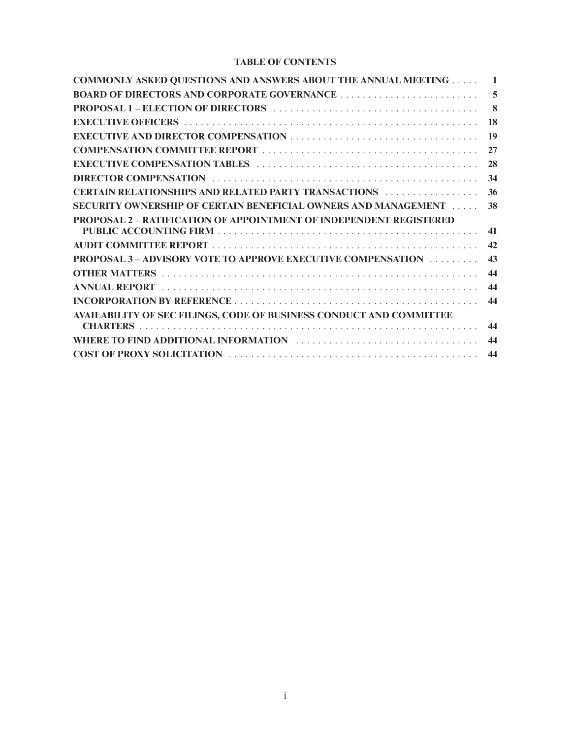# **TABLE OF CONTENTS**

| <b>COMMONLY ASKED QUESTIONS AND ANSWERS ABOUT THE ANNUAL MEETING</b>      | 1        |
|---------------------------------------------------------------------------|----------|
|                                                                           | 5        |
|                                                                           | $\bf{8}$ |
|                                                                           | 18       |
|                                                                           | 19       |
|                                                                           | 27       |
|                                                                           | 28       |
|                                                                           | 34       |
| <b>CERTAIN RELATIONSHIPS AND RELATED PARTY TRANSACTIONS</b>               | 36       |
| <b>SECURITY OWNERSHIP OF CERTAIN BENEFICIAL OWNERS AND MANAGEMENT </b>    | 38       |
| <b>PROPOSAL 2 – RATIFICATION OF APPOINTMENT OF INDEPENDENT REGISTERED</b> |          |
|                                                                           | 41       |
|                                                                           | 42       |
| <b>PROPOSAL 3 - ADVISORY VOTE TO APPROVE EXECUTIVE COMPENSATION </b>      | 43       |
|                                                                           | 44       |
|                                                                           | 44       |
|                                                                           | 44       |
| AVAILABILITY OF SEC FILINGS, CODE OF BUSINESS CONDUCT AND COMMITTEE       |          |
|                                                                           | 44       |
|                                                                           | 44       |
|                                                                           | 44       |
|                                                                           |          |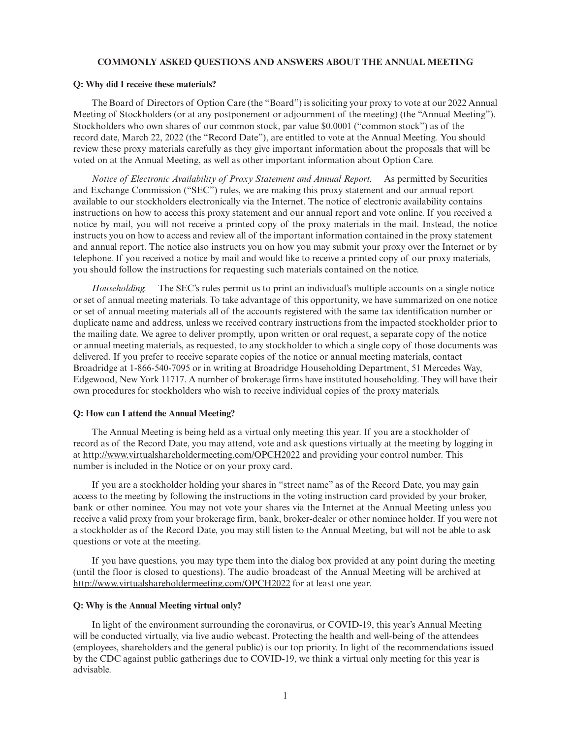#### **COMMONLY ASKED QUESTIONS AND ANSWERS ABOUT THE ANNUAL MEETING**

#### **Q: Why did I receive these materials?**

The Board of Directors of Option Care (the "Board") is soliciting your proxy to vote at our 2022 Annual Meeting of Stockholders (or at any postponement or adjournment of the meeting) (the "Annual Meeting"). Stockholders who own shares of our common stock, par value \$0.0001 ("common stock") as of the record date, March 22, 2022 (the "Record Date"), are entitled to vote at the Annual Meeting. You should review these proxy materials carefully as they give important information about the proposals that will be voted on at the Annual Meeting, as well as other important information about Option Care.

*Notice of Electronic Availability of Proxy Statement and Annual Report.* As permitted by Securities and Exchange Commission ("SEC") rules, we are making this proxy statement and our annual report available to our stockholders electronically via the Internet. The notice of electronic availability contains instructions on how to access this proxy statement and our annual report and vote online. If you received a notice by mail, you will not receive a printed copy of the proxy materials in the mail. Instead, the notice instructs you on how to access and review all of the important information contained in the proxy statement and annual report. The notice also instructs you on how you may submit your proxy over the Internet or by telephone. If you received a notice by mail and would like to receive a printed copy of our proxy materials, you should follow the instructions for requesting such materials contained on the notice.

*Householding.* The SEC's rules permit us to print an individual's multiple accounts on a single notice or set of annual meeting materials. To take advantage of this opportunity, we have summarized on one notice or set of annual meeting materials all of the accounts registered with the same tax identification number or duplicate name and address, unless we received contrary instructions from the impacted stockholder prior to the mailing date. We agree to deliver promptly, upon written or oral request, a separate copy of the notice or annual meeting materials, as requested, to any stockholder to which a single copy of those documents was delivered. If you prefer to receive separate copies of the notice or annual meeting materials, contact Broadridge at 1-866-540-7095 or in writing at Broadridge Householding Department, 51 Mercedes Way, Edgewood, New York 11717. A number of brokerage firms have instituted householding. They will have their own procedures for stockholders who wish to receive individual copies of the proxy materials.

### **Q: How can I attend the Annual Meeting?**

The Annual Meeting is being held as a virtual only meeting this year. If you are a stockholder of record as of the Record Date, you may attend, vote and ask questions virtually at the meeting by logging in at http://www.virtualshareholdermeeting.com/OPCH2022 and providing your control number. This number is included in the Notice or on your proxy card.

If you are a stockholder holding your shares in "street name" as of the Record Date, you may gain access to the meeting by following the instructions in the voting instruction card provided by your broker, bank or other nominee. You may not vote your shares via the Internet at the Annual Meeting unless you receive a valid proxy from your brokerage firm, bank, broker-dealer or other nominee holder. If you were not a stockholder as of the Record Date, you may still listen to the Annual Meeting, but will not be able to ask questions or vote at the meeting.

If you have questions, you may type them into the dialog box provided at any point during the meeting (until the floor is closed to questions). The audio broadcast of the Annual Meeting will be archived at http://www.virtualshareholdermeeting.com/OPCH2022 for at least one year.

#### **Q: Why is the Annual Meeting virtual only?**

In light of the environment surrounding the coronavirus, or COVID-19, this year's Annual Meeting will be conducted virtually, via live audio webcast. Protecting the health and well-being of the attendees (employees, shareholders and the general public) is our top priority. In light of the recommendations issued by the CDC against public gatherings due to COVID-19, we think a virtual only meeting for this year is advisable.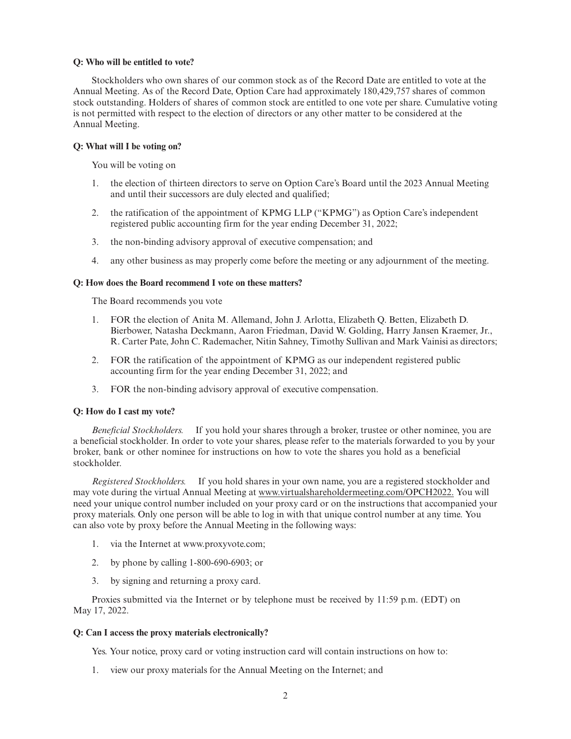### **Q: Who will be entitled to vote?**

Stockholders who own shares of our common stock as of the Record Date are entitled to vote at the Annual Meeting. As of the Record Date, Option Care had approximately 180,429,757 shares of common stock outstanding. Holders of shares of common stock are entitled to one vote per share. Cumulative voting is not permitted with respect to the election of directors or any other matter to be considered at the Annual Meeting.

## **Q: What will I be voting on?**

You will be voting on

- 1. the election of thirteen directors to serve on Option Care's Board until the 2023 Annual Meeting and until their successors are duly elected and qualified;
- 2. the ratification of the appointment of KPMG LLP ("KPMG") as Option Care's independent registered public accounting firm for the year ending December 31, 2022;
- 3. the non-binding advisory approval of executive compensation; and
- 4. any other business as may properly come before the meeting or any adjournment of the meeting.

### **Q: How does the Board recommend I vote on these matters?**

The Board recommends you vote

- 1. FOR the election of Anita M. Allemand, John J. Arlotta, Elizabeth Q. Betten, Elizabeth D. Bierbower, Natasha Deckmann, Aaron Friedman, David W. Golding, Harry Jansen Kraemer, Jr., R. Carter Pate, John C. Rademacher, Nitin Sahney, Timothy Sullivan and Mark Vainisi as directors;
- 2. FOR the ratification of the appointment of KPMG as our independent registered public accounting firm for the year ending December 31, 2022; and
- 3. FOR the non-binding advisory approval of executive compensation.

## **Q: How do I cast my vote?**

*Beneficial Stockholders.* If you hold your shares through a broker, trustee or other nominee, you are a beneficial stockholder. In order to vote your shares, please refer to the materials forwarded to you by your broker, bank or other nominee for instructions on how to vote the shares you hold as a beneficial stockholder.

*Registered Stockholders.* If you hold shares in your own name, you are a registered stockholder and may vote during the virtual Annual Meeting at www.virtualshareholdermeeting.com/OPCH2022. You will need your unique control number included on your proxy card or on the instructions that accompanied your proxy materials. Only one person will be able to log in with that unique control number at any time. You can also vote by proxy before the Annual Meeting in the following ways:

- 1. via the Internet at www.proxyvote.com;
- 2. by phone by calling 1-800-690-6903; or
- 3. by signing and returning a proxy card.

Proxies submitted via the Internet or by telephone must be received by 11:59 p.m. (EDT) on May 17, 2022.

## **Q: Can I access the proxy materials electronically?**

Yes. Your notice, proxy card or voting instruction card will contain instructions on how to:

1. view our proxy materials for the Annual Meeting on the Internet; and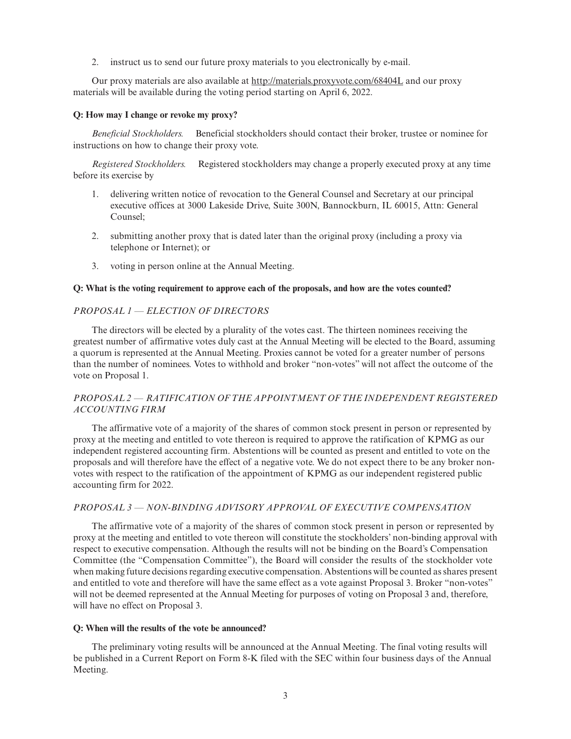2. instruct us to send our future proxy materials to you electronically by e-mail.

Our proxy materials are also available at http://materials.proxyvote.com/68404L and our proxy materials will be available during the voting period starting on April 6, 2022.

#### **Q: How may I change or revoke my proxy?**

*Beneficial Stockholders.* Beneficial stockholders should contact their broker, trustee or nominee for instructions on how to change their proxy vote.

*Registered Stockholders.* Registered stockholders may change a properly executed proxy at any time before its exercise by

- 1. delivering written notice of revocation to the General Counsel and Secretary at our principal executive offices at 3000 Lakeside Drive, Suite 300N, Bannockburn, IL 60015, Attn: General Counsel;
- 2. submitting another proxy that is dated later than the original proxy (including a proxy via telephone or Internet); or
- 3. voting in person online at the Annual Meeting.

### **Q: What is the voting requirement to approve each of the proposals, and how are the votes counted?**

### *PROPOSAL 1 — ELECTION OF DIRECTORS*

The directors will be elected by a plurality of the votes cast. The thirteen nominees receiving the greatest number of affirmative votes duly cast at the Annual Meeting will be elected to the Board, assuming a quorum is represented at the Annual Meeting. Proxies cannot be voted for a greater number of persons than the number of nominees. Votes to withhold and broker "non-votes" will not affect the outcome of the vote on Proposal 1.

# *PROPOSAL 2 — RATIFICATION OF THE APPOINTMENT OF THE INDEPENDENT REGISTERED ACCOUNTING FIRM*

The affirmative vote of a majority of the shares of common stock present in person or represented by proxy at the meeting and entitled to vote thereon is required to approve the ratification of KPMG as our independent registered accounting firm. Abstentions will be counted as present and entitled to vote on the proposals and will therefore have the effect of a negative vote. We do not expect there to be any broker nonvotes with respect to the ratification of the appointment of KPMG as our independent registered public accounting firm for 2022.

# *PROPOSAL 3 — NON-BINDING ADVISORY APPROVAL OF EXECUTIVE COMPENSATION*

The affirmative vote of a majority of the shares of common stock present in person or represented by proxy at the meeting and entitled to vote thereon will constitute the stockholders' non-binding approval with respect to executive compensation. Although the results will not be binding on the Board's Compensation Committee (the "Compensation Committee"), the Board will consider the results of the stockholder vote when making future decisions regarding executive compensation. Abstentions will be counted as shares present and entitled to vote and therefore will have the same effect as a vote against Proposal 3. Broker "non-votes" will not be deemed represented at the Annual Meeting for purposes of voting on Proposal 3 and, therefore, will have no effect on Proposal 3.

#### **Q: When will the results of the vote be announced?**

The preliminary voting results will be announced at the Annual Meeting. The final voting results will be published in a Current Report on Form 8-K filed with the SEC within four business days of the Annual Meeting.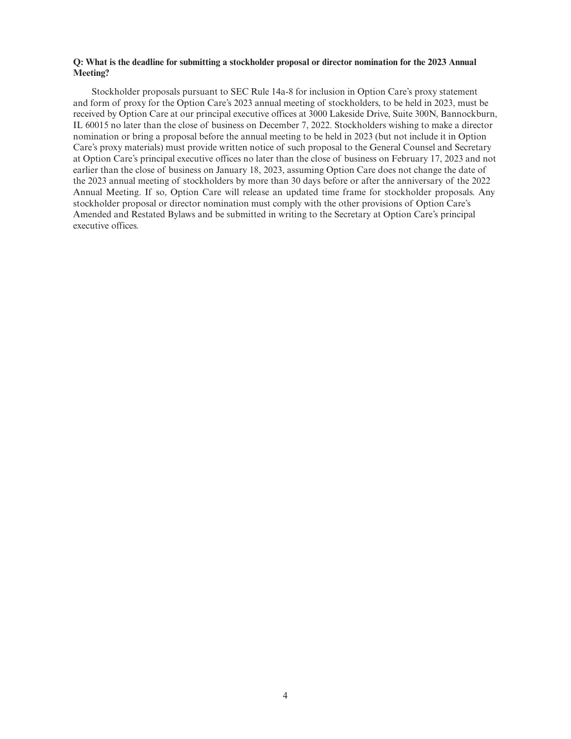# **Q: What is the deadline for submitting a stockholder proposal or director nomination for the 2023 Annual Meeting?**

Stockholder proposals pursuant to SEC Rule 14a-8 for inclusion in Option Care's proxy statement and form of proxy for the Option Care's 2023 annual meeting of stockholders, to be held in 2023, must be received by Option Care at our principal executive offices at 3000 Lakeside Drive, Suite 300N, Bannockburn, IL 60015 no later than the close of business on December 7, 2022. Stockholders wishing to make a director nomination or bring a proposal before the annual meeting to be held in 2023 (but not include it in Option Care's proxy materials) must provide written notice of such proposal to the General Counsel and Secretary at Option Care's principal executive offices no later than the close of business on February 17, 2023 and not earlier than the close of business on January 18, 2023, assuming Option Care does not change the date of the 2023 annual meeting of stockholders by more than 30 days before or after the anniversary of the 2022 Annual Meeting. If so, Option Care will release an updated time frame for stockholder proposals. Any stockholder proposal or director nomination must comply with the other provisions of Option Care's Amended and Restated Bylaws and be submitted in writing to the Secretary at Option Care's principal executive offices.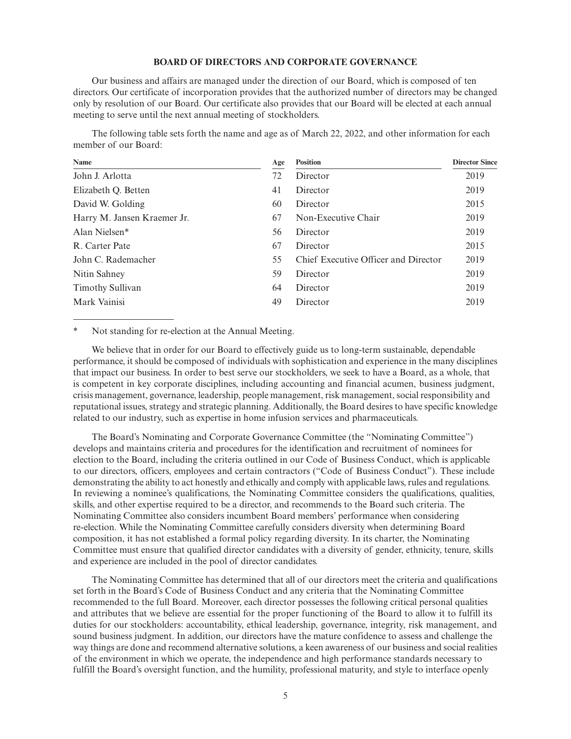### **BOARD OF DIRECTORS AND CORPORATE GOVERNANCE**

Our business and affairs are managed under the direction of our Board, which is composed of ten directors. Our certificate of incorporation provides that the authorized number of directors may be changed only by resolution of our Board. Our certificate also provides that our Board will be elected at each annual meeting to serve until the next annual meeting of stockholders.

The following table sets forth the name and age as of March 22, 2022, and other information for each member of our Board:

| Name                        | Age | <b>Position</b>                      | <b>Director Since</b> |
|-----------------------------|-----|--------------------------------------|-----------------------|
| John J. Arlotta             | 72  | Director                             | 2019                  |
| Elizabeth Q. Betten         | 41  | Director                             | 2019                  |
| David W. Golding            | 60  | Director                             | 2015                  |
| Harry M. Jansen Kraemer Jr. | 67  | Non-Executive Chair                  | 2019                  |
| Alan Nielsen*               | 56  | Director                             | 2019                  |
| R. Carter Pate              | 67  | Director                             | 2015                  |
| John C. Rademacher          | 55  | Chief Executive Officer and Director | 2019                  |
| Nitin Sahney                | 59  | Director                             | 2019                  |
| <b>Timothy Sullivan</b>     | 64  | Director                             | 2019                  |
| Mark Vainisi                | 49  | Director                             | 2019                  |
|                             |     |                                      |                       |

\* Not standing for re-election at the Annual Meeting.

We believe that in order for our Board to effectively guide us to long-term sustainable, dependable performance, it should be composed of individuals with sophistication and experience in the many disciplines that impact our business. In order to best serve our stockholders, we seek to have a Board, as a whole, that is competent in key corporate disciplines, including accounting and financial acumen, business judgment, crisis management, governance, leadership, people management, risk management, social responsibility and reputational issues, strategy and strategic planning. Additionally, the Board desires to have specific knowledge related to our industry, such as expertise in home infusion services and pharmaceuticals.

The Board's Nominating and Corporate Governance Committee (the "Nominating Committee") develops and maintains criteria and procedures for the identification and recruitment of nominees for election to the Board, including the criteria outlined in our Code of Business Conduct, which is applicable to our directors, officers, employees and certain contractors ("Code of Business Conduct"). These include demonstrating the ability to act honestly and ethically and comply with applicable laws, rules and regulations. In reviewing a nominee's qualifications, the Nominating Committee considers the qualifications, qualities, skills, and other expertise required to be a director, and recommends to the Board such criteria. The Nominating Committee also considers incumbent Board members' performance when considering re-election. While the Nominating Committee carefully considers diversity when determining Board composition, it has not established a formal policy regarding diversity. In its charter, the Nominating Committee must ensure that qualified director candidates with a diversity of gender, ethnicity, tenure, skills and experience are included in the pool of director candidates.

The Nominating Committee has determined that all of our directors meet the criteria and qualifications set forth in the Board's Code of Business Conduct and any criteria that the Nominating Committee recommended to the full Board. Moreover, each director possesses the following critical personal qualities and attributes that we believe are essential for the proper functioning of the Board to allow it to fulfill its duties for our stockholders: accountability, ethical leadership, governance, integrity, risk management, and sound business judgment. In addition, our directors have the mature confidence to assess and challenge the way things are done and recommend alternative solutions, a keen awareness of our business and social realities of the environment in which we operate, the independence and high performance standards necessary to fulfill the Board's oversight function, and the humility, professional maturity, and style to interface openly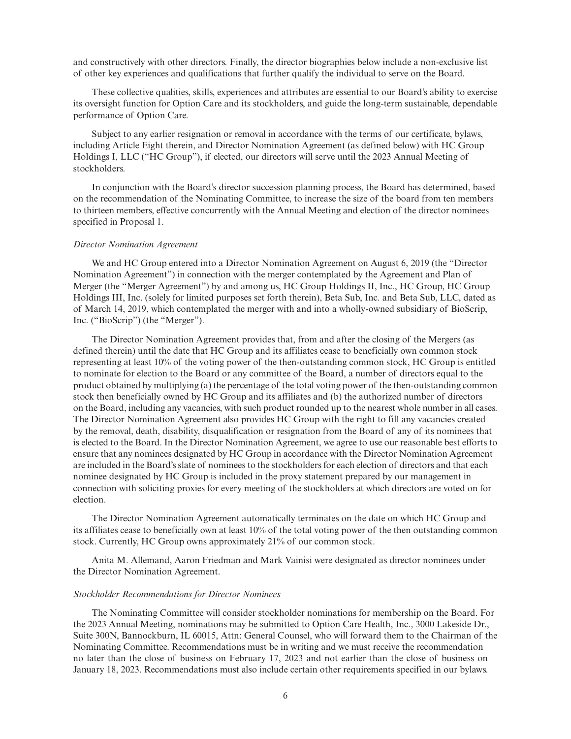and constructively with other directors. Finally, the director biographies below include a non-exclusive list of other key experiences and qualifications that further qualify the individual to serve on the Board.

These collective qualities, skills, experiences and attributes are essential to our Board's ability to exercise its oversight function for Option Care and its stockholders, and guide the long-term sustainable, dependable performance of Option Care.

Subject to any earlier resignation or removal in accordance with the terms of our certificate, bylaws, including Article Eight therein, and Director Nomination Agreement (as defined below) with HC Group Holdings I, LLC ("HC Group"), if elected, our directors will serve until the 2023 Annual Meeting of stockholders.

In conjunction with the Board's director succession planning process, the Board has determined, based on the recommendation of the Nominating Committee, to increase the size of the board from ten members to thirteen members, effective concurrently with the Annual Meeting and election of the director nominees specified in Proposal 1.

#### *Director Nomination Agreement*

We and HC Group entered into a Director Nomination Agreement on August 6, 2019 (the "Director Nomination Agreement") in connection with the merger contemplated by the Agreement and Plan of Merger (the "Merger Agreement") by and among us, HC Group Holdings II, Inc., HC Group, HC Group Holdings III, Inc. (solely for limited purposes set forth therein), Beta Sub, Inc. and Beta Sub, LLC, dated as of March 14, 2019, which contemplated the merger with and into a wholly-owned subsidiary of BioScrip, Inc. ("BioScrip") (the "Merger").

The Director Nomination Agreement provides that, from and after the closing of the Mergers (as defined therein) until the date that HC Group and its affiliates cease to beneficially own common stock representing at least 10% of the voting power of the then-outstanding common stock, HC Group is entitled to nominate for election to the Board or any committee of the Board, a number of directors equal to the product obtained by multiplying (a) the percentage of the total voting power of the then-outstanding common stock then beneficially owned by HC Group and its affiliates and (b) the authorized number of directors on the Board, including any vacancies, with such product rounded up to the nearest whole number in all cases. The Director Nomination Agreement also provides HC Group with the right to fill any vacancies created by the removal, death, disability, disqualification or resignation from the Board of any of its nominees that is elected to the Board. In the Director Nomination Agreement, we agree to use our reasonable best efforts to ensure that any nominees designated by HC Group in accordance with the Director Nomination Agreement are included in the Board's slate of nominees to the stockholders for each election of directors and that each nominee designated by HC Group is included in the proxy statement prepared by our management in connection with soliciting proxies for every meeting of the stockholders at which directors are voted on for election.

The Director Nomination Agreement automatically terminates on the date on which HC Group and its affiliates cease to beneficially own at least 10% of the total voting power of the then outstanding common stock. Currently, HC Group owns approximately 21% of our common stock.

Anita M. Allemand, Aaron Friedman and Mark Vainisi were designated as director nominees under the Director Nomination Agreement.

#### *Stockholder Recommendations for Director Nominees*

The Nominating Committee will consider stockholder nominations for membership on the Board. For the 2023 Annual Meeting, nominations may be submitted to Option Care Health, Inc., 3000 Lakeside Dr., Suite 300N, Bannockburn, IL 60015, Attn: General Counsel, who will forward them to the Chairman of the Nominating Committee. Recommendations must be in writing and we must receive the recommendation no later than the close of business on February 17, 2023 and not earlier than the close of business on January 18, 2023. Recommendations must also include certain other requirements specified in our bylaws.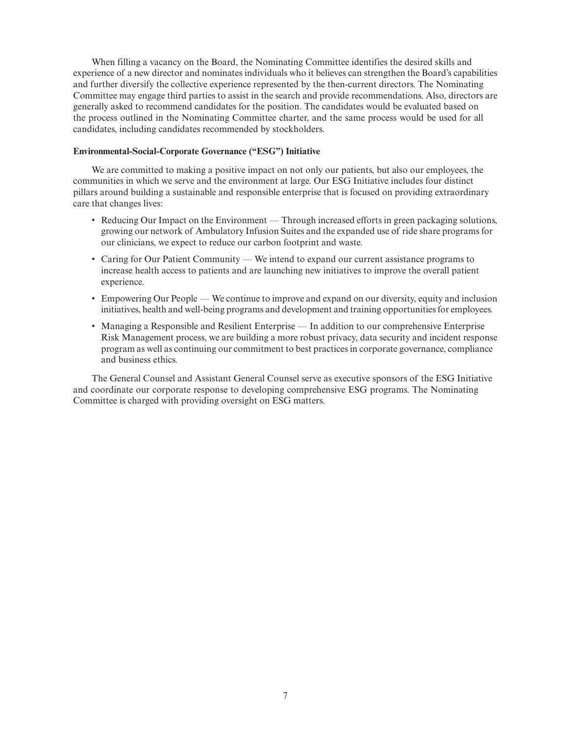When filling a vacancy on the Board, the Nominating Committee identifies the desired skills and experience of a new director and nominates individuals who it believes can strengthen the Board's capabilities and further diversify the collective experience represented by the then-current directors. The Nominating Committee may engage third parties to assist in the search and provide recommendations. Also, directors are generally asked to recommend candidates for the position. The candidates would be evaluated based on the process outlined in the Nominating Committee charter, and the same process would be used for all candidates, including candidates recommended by stockholders.

### **Environmental-Social-Corporate Governance ("ESG") Initiative**

We are committed to making a positive impact on not only our patients, but also our employees, the communities in which we serve and the environment at large. Our ESG Initiative includes four distinct pillars around building a sustainable and responsible enterprise that is focused on providing extraordinary care that changes lives:

- Reducing Our Impact on the Environment Through increased efforts in green packaging solutions, growing our network of Ambulatory Infusion Suites and the expanded use of ride share programs for our clinicians, we expect to reduce our carbon footprint and waste.
- Caring for Our Patient Community We intend to expand our current assistance programs to increase health access to patients and are launching new initiatives to improve the overall patient experience.
- Empowering Our People We continue to improve and expand on our diversity, equity and inclusion initiatives, health and well-being programs and development and training opportunities for employees.
- Managing a Responsible and Resilient Enterprise In addition to our comprehensive Enterprise Risk Management process, we are building a more robust privacy, data security and incident response program as well as continuing our commitment to best practices in corporate governance, compliance and business ethics.

The General Counsel and Assistant General Counsel serve as executive sponsors of the ESG Initiative and coordinate our corporate response to developing comprehensive ESG programs. The Nominating Committee is charged with providing oversight on ESG matters.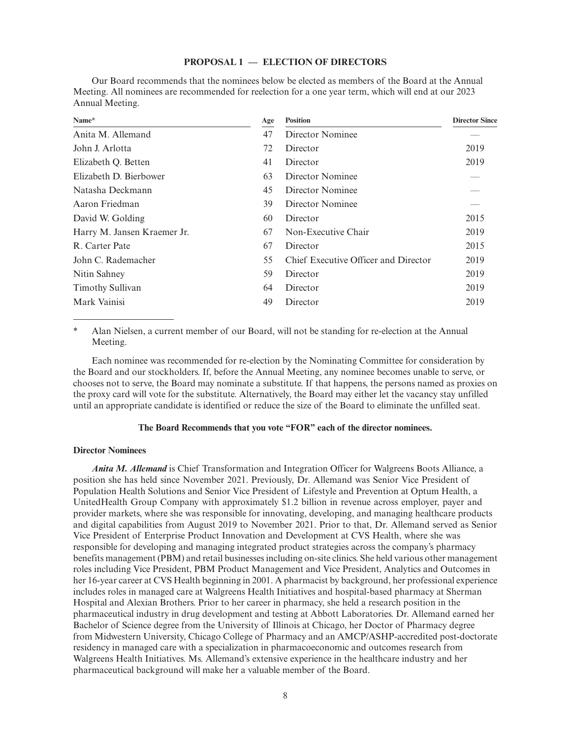### **PROPOSAL 1 — ELECTION OF DIRECTORS**

Our Board recommends that the nominees below be elected as members of the Board at the Annual Meeting. All nominees are recommended for reelection for a one year term, which will end at our 2023 Annual Meeting.

| Name*                       | Age | <b>Position</b>                      | <b>Director Since</b> |
|-----------------------------|-----|--------------------------------------|-----------------------|
| Anita M. Allemand           | 47  | Director Nominee                     |                       |
| John J. Arlotta             | 72  | Director                             | 2019                  |
| Elizabeth Q. Betten         | 41  | Director                             | 2019                  |
| Elizabeth D. Bierbower      | 63  | Director Nominee                     |                       |
| Natasha Deckmann            | 45  | Director Nominee                     |                       |
| Aaron Friedman              | 39  | Director Nominee                     |                       |
| David W. Golding            | 60  | Director                             | 2015                  |
| Harry M. Jansen Kraemer Jr. | 67  | Non-Executive Chair                  | 2019                  |
| R. Carter Pate              | 67  | Director                             | 2015                  |
| John C. Rademacher          | 55  | Chief Executive Officer and Director | 2019                  |
| Nitin Sahney                | 59  | Director                             | 2019                  |
| <b>Timothy Sullivan</b>     | 64  | Director                             | 2019                  |
| Mark Vainisi                | 49  | Director                             | 2019                  |

Alan Nielsen, a current member of our Board, will not be standing for re-election at the Annual Meeting.

Each nominee was recommended for re-election by the Nominating Committee for consideration by the Board and our stockholders. If, before the Annual Meeting, any nominee becomes unable to serve, or chooses not to serve, the Board may nominate a substitute. If that happens, the persons named as proxies on the proxy card will vote for the substitute. Alternatively, the Board may either let the vacancy stay unfilled until an appropriate candidate is identified or reduce the size of the Board to eliminate the unfilled seat.

#### **The Board Recommends that you vote "FOR" each of the director nominees.**

#### **Director Nominees**

*Anita M. Allemand* is Chief Transformation and Integration Officer for Walgreens Boots Alliance, a position she has held since November 2021. Previously, Dr. Allemand was Senior Vice President of Population Health Solutions and Senior Vice President of Lifestyle and Prevention at Optum Health, a UnitedHealth Group Company with approximately \$1.2 billion in revenue across employer, payer and provider markets, where she was responsible for innovating, developing, and managing healthcare products and digital capabilities from August 2019 to November 2021. Prior to that, Dr. Allemand served as Senior Vice President of Enterprise Product Innovation and Development at CVS Health, where she was responsible for developing and managing integrated product strategies across the company's pharmacy benefits management (PBM) and retail businesses including on-site clinics. She held various other management roles including Vice President, PBM Product Management and Vice President, Analytics and Outcomes in her 16-year career at CVS Health beginning in 2001. A pharmacist by background, her professional experience includes roles in managed care at Walgreens Health Initiatives and hospital-based pharmacy at Sherman Hospital and Alexian Brothers. Prior to her career in pharmacy, she held a research position in the pharmaceutical industry in drug development and testing at Abbott Laboratories. Dr. Allemand earned her Bachelor of Science degree from the University of Illinois at Chicago, her Doctor of Pharmacy degree from Midwestern University, Chicago College of Pharmacy and an AMCP/ASHP-accredited post-doctorate residency in managed care with a specialization in pharmacoeconomic and outcomes research from Walgreens Health Initiatives. Ms. Allemand's extensive experience in the healthcare industry and her pharmaceutical background will make her a valuable member of the Board.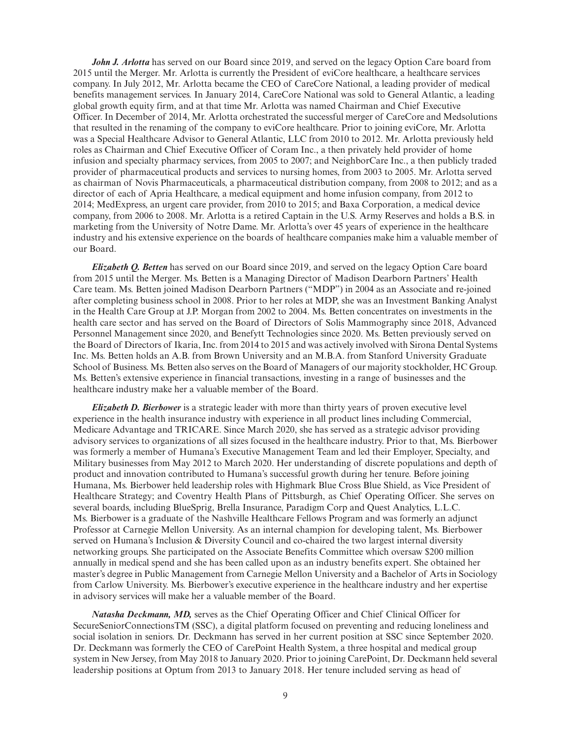*John J. Arlotta* has served on our Board since 2019, and served on the legacy Option Care board from 2015 until the Merger. Mr. Arlotta is currently the President of eviCore healthcare, a healthcare services company. In July 2012, Mr. Arlotta became the CEO of CareCore National, a leading provider of medical benefits management services. In January 2014, CareCore National was sold to General Atlantic, a leading global growth equity firm, and at that time Mr. Arlotta was named Chairman and Chief Executive Officer. In December of 2014, Mr. Arlotta orchestrated the successful merger of CareCore and Medsolutions that resulted in the renaming of the company to eviCore healthcare. Prior to joining eviCore, Mr. Arlotta was a Special Healthcare Advisor to General Atlantic, LLC from 2010 to 2012. Mr. Arlotta previously held roles as Chairman and Chief Executive Officer of Coram Inc., a then privately held provider of home infusion and specialty pharmacy services, from 2005 to 2007; and NeighborCare Inc., a then publicly traded provider of pharmaceutical products and services to nursing homes, from 2003 to 2005. Mr. Arlotta served as chairman of Novis Pharmaceuticals, a pharmaceutical distribution company, from 2008 to 2012; and as a director of each of Apria Healthcare, a medical equipment and home infusion company, from 2012 to 2014; MedExpress, an urgent care provider, from 2010 to 2015; and Baxa Corporation, a medical device company, from 2006 to 2008. Mr. Arlotta is a retired Captain in the U.S. Army Reserves and holds a B.S. in marketing from the University of Notre Dame. Mr. Arlotta's over 45 years of experience in the healthcare industry and his extensive experience on the boards of healthcare companies make him a valuable member of our Board.

*Elizabeth Q. Betten* has served on our Board since 2019, and served on the legacy Option Care board from 2015 until the Merger. Ms. Betten is a Managing Director of Madison Dearborn Partners' Health Care team. Ms. Betten joined Madison Dearborn Partners ("MDP") in 2004 as an Associate and re-joined after completing business school in 2008. Prior to her roles at MDP, she was an Investment Banking Analyst in the Health Care Group at J.P. Morgan from 2002 to 2004. Ms. Betten concentrates on investments in the health care sector and has served on the Board of Directors of Solis Mammography since 2018, Advanced Personnel Management since 2020, and Benefytt Technologies since 2020. Ms. Betten previously served on the Board of Directors of Ikaria, Inc. from 2014 to 2015 and was actively involved with Sirona Dental Systems Inc. Ms. Betten holds an A.B. from Brown University and an M.B.A. from Stanford University Graduate School of Business. Ms. Betten also serves on the Board of Managers of our majority stockholder, HC Group. Ms. Betten's extensive experience in financial transactions, investing in a range of businesses and the healthcare industry make her a valuable member of the Board.

*Elizabeth D. Bierbower* is a strategic leader with more than thirty years of proven executive level experience in the health insurance industry with experience in all product lines including Commercial, Medicare Advantage and TRICARE. Since March 2020, she has served as a strategic advisor providing advisory services to organizations of all sizes focused in the healthcare industry. Prior to that, Ms. Bierbower was formerly a member of Humana's Executive Management Team and led their Employer, Specialty, and Military businesses from May 2012 to March 2020. Her understanding of discrete populations and depth of product and innovation contributed to Humana's successful growth during her tenure. Before joining Humana, Ms. Bierbower held leadership roles with Highmark Blue Cross Blue Shield, as Vice President of Healthcare Strategy; and Coventry Health Plans of Pittsburgh, as Chief Operating Officer. She serves on several boards, including BlueSprig, Brella Insurance, Paradigm Corp and Quest Analytics, L.L.C. Ms. Bierbower is a graduate of the Nashville Healthcare Fellows Program and was formerly an adjunct Professor at Carnegie Mellon University. As an internal champion for developing talent, Ms. Bierbower served on Humana's Inclusion & Diversity Council and co-chaired the two largest internal diversity networking groups. She participated on the Associate Benefits Committee which oversaw \$200 million annually in medical spend and she has been called upon as an industry benefits expert. She obtained her master's degree in Public Management from Carnegie Mellon University and a Bachelor of Arts in Sociology from Carlow University. Ms. Bierbower's executive experience in the healthcare industry and her expertise in advisory services will make her a valuable member of the Board.

*Natasha Deckmann, MD,* serves as the Chief Operating Officer and Chief Clinical Officer for SecureSeniorConnectionsTM (SSC), a digital platform focused on preventing and reducing loneliness and social isolation in seniors. Dr. Deckmann has served in her current position at SSC since September 2020. Dr. Deckmann was formerly the CEO of CarePoint Health System, a three hospital and medical group system in New Jersey, from May 2018 to January 2020. Prior to joining CarePoint, Dr. Deckmann held several leadership positions at Optum from 2013 to January 2018. Her tenure included serving as head of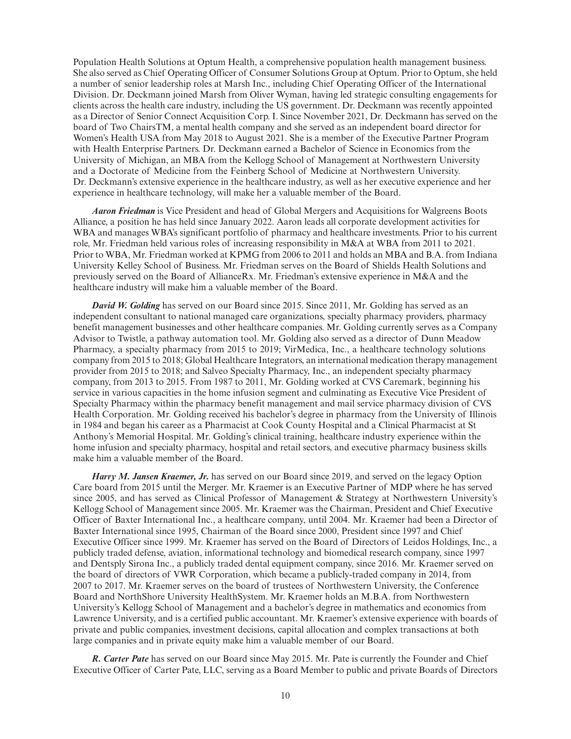Population Health Solutions at Optum Health, a comprehensive population health management business. She also served as Chief Operating Officer of Consumer Solutions Group at Optum. Prior to Optum, she held a number of senior leadership roles at Marsh Inc., including Chief Operating Officer of the International Division. Dr. Deckmann joined Marsh from Oliver Wyman, having led strategic consulting engagements for clients across the health care industry, including the US government. Dr. Deckmann was recently appointed as a Director of Senior Connect Acquisition Corp. I. Since November 2021, Dr. Deckmann has served on the board of Two ChairsTM, a mental health company and she served as an independent board director for Women's Health USA from May 2018 to August 2021. She is a member of the Executive Partner Program with Health Enterprise Partners. Dr. Deckmann earned a Bachelor of Science in Economics from the University of Michigan, an MBA from the Kellogg School of Management at Northwestern University and a Doctorate of Medicine from the Feinberg School of Medicine at Northwestern University. Dr. Deckmann's extensive experience in the healthcare industry, as well as her executive experience and her experience in healthcare technology, will make her a valuable member of the Board.

*Aaron Friedman* is Vice President and head of Global Mergers and Acquisitions for Walgreens Boots Alliance, a position he has held since January 2022. Aaron leads all corporate development activities for WBA and manages WBA's significant portfolio of pharmacy and healthcare investments. Prior to his current role, Mr. Friedman held various roles of increasing responsibility in M&A at WBA from 2011 to 2021. Prior to WBA, Mr. Friedman worked at KPMG from 2006 to 2011 and holds an MBA and B.A. from Indiana University Kelley School of Business. Mr. Friedman serves on the Board of Shields Health Solutions and previously served on the Board of AllianceRx. Mr. Friedman's extensive experience in M&A and the healthcare industry will make him a valuable member of the Board.

*David W. Golding* has served on our Board since 2015. Since 2011, Mr. Golding has served as an independent consultant to national managed care organizations, specialty pharmacy providers, pharmacy benefit management businesses and other healthcare companies. Mr. Golding currently serves as a Company Advisor to Twistle, a pathway automation tool. Mr. Golding also served as a director of Dunn Meadow Pharmacy, a specialty pharmacy from 2015 to 2019; VirMedica, Inc., a healthcare technology solutions company from 2015 to 2018; Global Healthcare Integrators, an international medication therapy management provider from 2015 to 2018; and Salveo Specialty Pharmacy, Inc., an independent specialty pharmacy company, from 2013 to 2015. From 1987 to 2011, Mr. Golding worked at CVS Caremark, beginning his service in various capacities in the home infusion segment and culminating as Executive Vice President of Specialty Pharmacy within the pharmacy benefit management and mail service pharmacy division of CVS Health Corporation. Mr. Golding received his bachelor's degree in pharmacy from the University of Illinois in 1984 and began his career as a Pharmacist at Cook County Hospital and a Clinical Pharmacist at St Anthony's Memorial Hospital. Mr. Golding's clinical training, healthcare industry experience within the home infusion and specialty pharmacy, hospital and retail sectors, and executive pharmacy business skills make him a valuable member of the Board.

*Harry M. Jansen Kraemer, Jr.* has served on our Board since 2019, and served on the legacy Option Care board from 2015 until the Merger. Mr. Kraemer is an Executive Partner of MDP where he has served since 2005, and has served as Clinical Professor of Management & Strategy at Northwestern University's Kellogg School of Management since 2005. Mr. Kraemer was the Chairman, President and Chief Executive Officer of Baxter International Inc., a healthcare company, until 2004. Mr. Kraemer had been a Director of Baxter International since 1995, Chairman of the Board since 2000, President since 1997 and Chief Executive Officer since 1999. Mr. Kraemer has served on the Board of Directors of Leidos Holdings, Inc., a publicly traded defense, aviation, informational technology and biomedical research company, since 1997 and Dentsply Sirona Inc., a publicly traded dental equipment company, since 2016. Mr. Kraemer served on the board of directors of VWR Corporation, which became a publicly-traded company in 2014, from 2007 to 2017. Mr. Kraemer serves on the board of trustees of Northwestern University, the Conference Board and NorthShore University HealthSystem. Mr. Kraemer holds an M.B.A. from Northwestern University's Kellogg School of Management and a bachelor's degree in mathematics and economics from Lawrence University, and is a certified public accountant. Mr. Kraemer's extensive experience with boards of private and public companies, investment decisions, capital allocation and complex transactions at both large companies and in private equity make him a valuable member of our Board.

*R. Carter Pate* has served on our Board since May 2015. Mr. Pate is currently the Founder and Chief Executive Officer of Carter Pate, LLC, serving as a Board Member to public and private Boards of Directors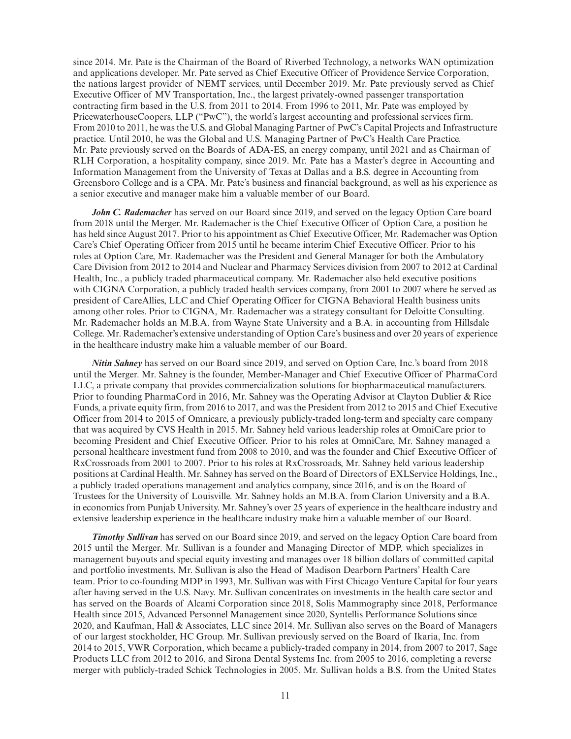since 2014. Mr. Pate is the Chairman of the Board of Riverbed Technology, a networks WAN optimization and applications developer. Mr. Pate served as Chief Executive Officer of Providence Service Corporation, the nations largest provider of NEMT services, until December 2019. Mr. Pate previously served as Chief Executive Officer of MV Transportation, Inc., the largest privately-owned passenger transportation contracting firm based in the U.S. from 2011 to 2014. From 1996 to 2011, Mr. Pate was employed by PricewaterhouseCoopers, LLP ("PwC"), the world's largest accounting and professional services firm. From 2010 to 2011, he was the U.S. and Global Managing Partner of PwC's Capital Projects and Infrastructure practice. Until 2010, he was the Global and U.S. Managing Partner of PwC's Health Care Practice. Mr. Pate previously served on the Boards of ADA-ES, an energy company, until 2021 and as Chairman of RLH Corporation, a hospitality company, since 2019. Mr. Pate has a Master's degree in Accounting and Information Management from the University of Texas at Dallas and a B.S. degree in Accounting from Greensboro College and is a CPA. Mr. Pate's business and financial background, as well as his experience as a senior executive and manager make him a valuable member of our Board.

*John C. Rademacher* has served on our Board since 2019, and served on the legacy Option Care board from 2018 until the Merger. Mr. Rademacher is the Chief Executive Officer of Option Care, a position he has held since August 2017. Prior to his appointment as Chief Executive Officer, Mr. Rademacher was Option Care's Chief Operating Officer from 2015 until he became interim Chief Executive Officer. Prior to his roles at Option Care, Mr. Rademacher was the President and General Manager for both the Ambulatory Care Division from 2012 to 2014 and Nuclear and Pharmacy Services division from 2007 to 2012 at Cardinal Health, Inc., a publicly traded pharmaceutical company. Mr. Rademacher also held executive positions with CIGNA Corporation, a publicly traded health services company, from 2001 to 2007 where he served as president of CareAllies, LLC and Chief Operating Officer for CIGNA Behavioral Health business units among other roles. Prior to CIGNA, Mr. Rademacher was a strategy consultant for Deloitte Consulting. Mr. Rademacher holds an M.B.A. from Wayne State University and a B.A. in accounting from Hillsdale College. Mr. Rademacher's extensive understanding of Option Care's business and over 20 years of experience in the healthcare industry make him a valuable member of our Board.

*Nitin Sahney* has served on our Board since 2019, and served on Option Care, Inc.'s board from 2018 until the Merger. Mr. Sahney is the founder, Member-Manager and Chief Executive Officer of PharmaCord LLC, a private company that provides commercialization solutions for biopharmaceutical manufacturers. Prior to founding PharmaCord in 2016, Mr. Sahney was the Operating Advisor at Clayton Dublier & Rice Funds, a private equity firm, from 2016 to 2017, and was the President from 2012 to 2015 and Chief Executive Officer from 2014 to 2015 of Omnicare, a previously publicly-traded long-term and specialty care company that was acquired by CVS Health in 2015. Mr. Sahney held various leadership roles at OmniCare prior to becoming President and Chief Executive Officer. Prior to his roles at OmniCare, Mr. Sahney managed a personal healthcare investment fund from 2008 to 2010, and was the founder and Chief Executive Officer of RxCrossroads from 2001 to 2007. Prior to his roles at RxCrossroads, Mr. Sahney held various leadership positions at Cardinal Health. Mr. Sahney has served on the Board of Directors of EXLService Holdings, Inc., a publicly traded operations management and analytics company, since 2016, and is on the Board of Trustees for the University of Louisville. Mr. Sahney holds an M.B.A. from Clarion University and a B.A. in economics from Punjab University. Mr. Sahney's over 25 years of experience in the healthcare industry and extensive leadership experience in the healthcare industry make him a valuable member of our Board.

*Timothy Sullivan* has served on our Board since 2019, and served on the legacy Option Care board from 2015 until the Merger. Mr. Sullivan is a founder and Managing Director of MDP, which specializes in management buyouts and special equity investing and manages over 18 billion dollars of committed capital and portfolio investments. Mr. Sullivan is also the Head of Madison Dearborn Partners' Health Care team. Prior to co-founding MDP in 1993, Mr. Sullivan was with First Chicago Venture Capital for four years after having served in the U.S. Navy. Mr. Sullivan concentrates on investments in the health care sector and has served on the Boards of Alcami Corporation since 2018, Solis Mammography since 2018, Performance Health since 2015, Advanced Personnel Management since 2020, Syntellis Performance Solutions since 2020, and Kaufman, Hall & Associates, LLC since 2014. Mr. Sullivan also serves on the Board of Managers of our largest stockholder, HC Group. Mr. Sullivan previously served on the Board of Ikaria, Inc. from 2014 to 2015, VWR Corporation, which became a publicly-traded company in 2014, from 2007 to 2017, Sage Products LLC from 2012 to 2016, and Sirona Dental Systems Inc. from 2005 to 2016, completing a reverse merger with publicly-traded Schick Technologies in 2005. Mr. Sullivan holds a B.S. from the United States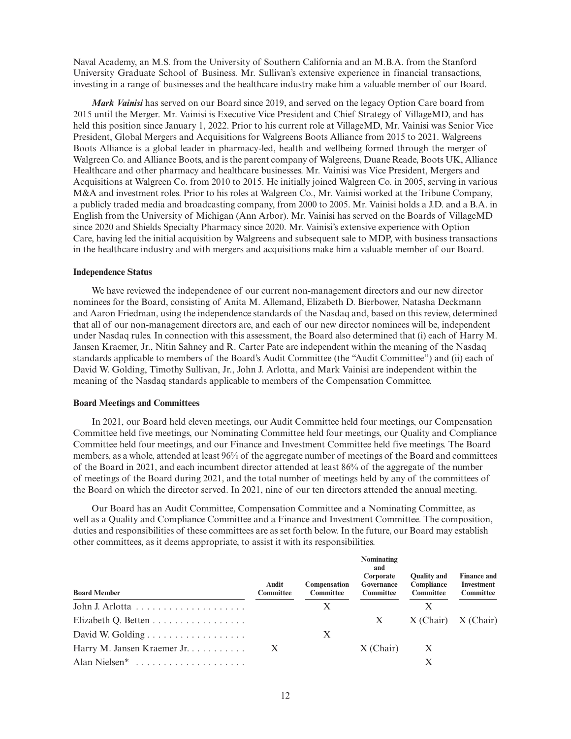Naval Academy, an M.S. from the University of Southern California and an M.B.A. from the Stanford University Graduate School of Business. Mr. Sullivan's extensive experience in financial transactions, investing in a range of businesses and the healthcare industry make him a valuable member of our Board.

*Mark Vainisi* has served on our Board since 2019, and served on the legacy Option Care board from 2015 until the Merger. Mr. Vainisi is Executive Vice President and Chief Strategy of VillageMD, and has held this position since January 1, 2022. Prior to his current role at VillageMD, Mr. Vainisi was Senior Vice President, Global Mergers and Acquisitions for Walgreens Boots Alliance from 2015 to 2021. Walgreens Boots Alliance is a global leader in pharmacy-led, health and wellbeing formed through the merger of Walgreen Co. and Alliance Boots, and is the parent company of Walgreens, Duane Reade, Boots UK, Alliance Healthcare and other pharmacy and healthcare businesses. Mr. Vainisi was Vice President, Mergers and Acquisitions at Walgreen Co. from 2010 to 2015. He initially joined Walgreen Co. in 2005, serving in various M&A and investment roles. Prior to his roles at Walgreen Co., Mr. Vainisi worked at the Tribune Company, a publicly traded media and broadcasting company, from 2000 to 2005. Mr. Vainisi holds a J.D. and a B.A. in English from the University of Michigan (Ann Arbor). Mr. Vainisi has served on the Boards of VillageMD since 2020 and Shields Specialty Pharmacy since 2020. Mr. Vainisi's extensive experience with Option Care, having led the initial acquisition by Walgreens and subsequent sale to MDP, with business transactions in the healthcare industry and with mergers and acquisitions make him a valuable member of our Board.

#### **Independence Status**

We have reviewed the independence of our current non-management directors and our new director nominees for the Board, consisting of Anita M. Allemand, Elizabeth D. Bierbower, Natasha Deckmann and Aaron Friedman, using the independence standards of the Nasdaq and, based on this review, determined that all of our non-management directors are, and each of our new director nominees will be, independent under Nasdaq rules. In connection with this assessment, the Board also determined that (i) each of Harry M. Jansen Kraemer, Jr., Nitin Sahney and R. Carter Pate are independent within the meaning of the Nasdaq standards applicable to members of the Board's Audit Committee (the "Audit Committee") and (ii) each of David W. Golding, Timothy Sullivan, Jr., John J. Arlotta, and Mark Vainisi are independent within the meaning of the Nasdaq standards applicable to members of the Compensation Committee.

#### **Board Meetings and Committees**

In 2021, our Board held eleven meetings, our Audit Committee held four meetings, our Compensation Committee held five meetings, our Nominating Committee held four meetings, our Quality and Compliance Committee held four meetings, and our Finance and Investment Committee held five meetings. The Board members, as a whole, attended at least 96% of the aggregate number of meetings of the Board and committees of the Board in 2021, and each incumbent director attended at least 86% of the aggregate of the number of meetings of the Board during 2021, and the total number of meetings held by any of the committees of the Board on which the director served. In 2021, nine of our ten directors attended the annual meeting.

Our Board has an Audit Committee, Compensation Committee and a Nominating Committee, as well as a Quality and Compliance Committee and a Finance and Investment Committee. The composition, duties and responsibilities of these committees are as set forth below. In the future, our Board may establish other committees, as it deems appropriate, to assist it with its responsibilities.

| <b>Board Member</b>         | Audit<br><b>Committee</b> | <b>Compensation</b><br><b>Committee</b> | Nominating<br>and<br>Corporate<br>Governance<br><b>Committee</b> | <b>Ouality and</b><br>Compliance<br><b>Committee</b> | <b>Finance and</b><br><b>Investment</b><br>Committee |
|-----------------------------|---------------------------|-----------------------------------------|------------------------------------------------------------------|------------------------------------------------------|------------------------------------------------------|
|                             |                           | X                                       |                                                                  | Х                                                    |                                                      |
| Elizabeth Q. Betten         |                           |                                         | $\mathbf{X}$                                                     | $X$ (Chair) $X$ (Chair)                              |                                                      |
|                             |                           | Х                                       |                                                                  |                                                      |                                                      |
| Harry M. Jansen Kraemer Jr. | $\mathbf{X}$              |                                         | $X$ (Chair)                                                      | $\mathbf{X}$                                         |                                                      |
|                             |                           |                                         |                                                                  | X                                                    |                                                      |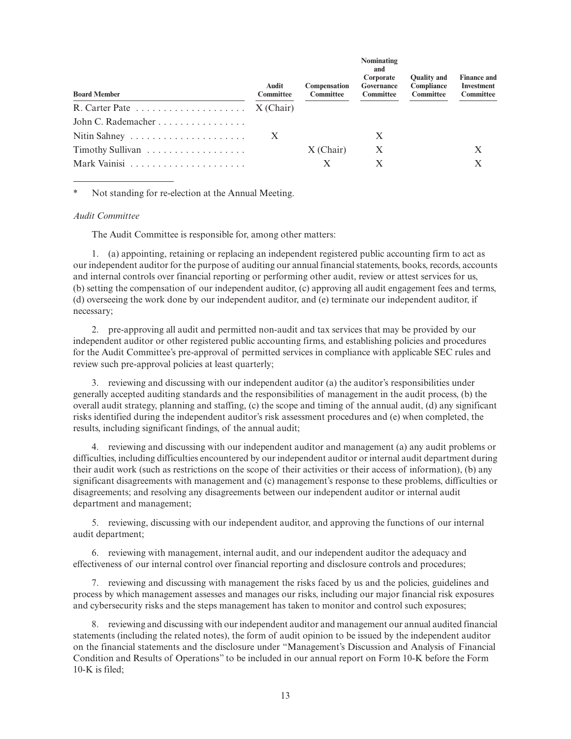| Audit<br><b>Committee</b>                                      | Compensation<br>Committee | <b>NOMINIAUME</b><br>and<br>Corporate<br>Governance<br><b>Committee</b> | <b>Ouality and</b><br>Compliance<br><b>Committee</b> | <b>Finance and</b><br>Investment<br>Committee |
|----------------------------------------------------------------|---------------------------|-------------------------------------------------------------------------|------------------------------------------------------|-----------------------------------------------|
| R. Carter Pate $\dots \dots \dots \dots \dots \dots$ X (Chair) |                           |                                                                         |                                                      |                                               |
|                                                                |                           |                                                                         |                                                      |                                               |
| X                                                              |                           | X                                                                       |                                                      |                                               |
|                                                                | $X$ (Chair)               | $\mathbf{X}$                                                            |                                                      |                                               |
|                                                                | X                         | Х                                                                       |                                                      |                                               |
|                                                                |                           |                                                                         |                                                      |                                               |

**Nominating**

Not standing for re-election at the Annual Meeting.

#### *Audit Committee*

The Audit Committee is responsible for, among other matters:

1. (a) appointing, retaining or replacing an independent registered public accounting firm to act as our independent auditor for the purpose of auditing our annual financial statements, books, records, accounts and internal controls over financial reporting or performing other audit, review or attest services for us, (b) setting the compensation of our independent auditor, (c) approving all audit engagement fees and terms, (d) overseeing the work done by our independent auditor, and (e) terminate our independent auditor, if necessary;

2. pre-approving all audit and permitted non-audit and tax services that may be provided by our independent auditor or other registered public accounting firms, and establishing policies and procedures for the Audit Committee's pre-approval of permitted services in compliance with applicable SEC rules and review such pre-approval policies at least quarterly;

3. reviewing and discussing with our independent auditor (a) the auditor's responsibilities under generally accepted auditing standards and the responsibilities of management in the audit process, (b) the overall audit strategy, planning and staffing, (c) the scope and timing of the annual audit, (d) any significant risks identified during the independent auditor's risk assessment procedures and (e) when completed, the results, including significant findings, of the annual audit;

4. reviewing and discussing with our independent auditor and management (a) any audit problems or difficulties, including difficulties encountered by our independent auditor or internal audit department during their audit work (such as restrictions on the scope of their activities or their access of information), (b) any significant disagreements with management and (c) management's response to these problems, difficulties or disagreements; and resolving any disagreements between our independent auditor or internal audit department and management;

5. reviewing, discussing with our independent auditor, and approving the functions of our internal audit department;

6. reviewing with management, internal audit, and our independent auditor the adequacy and effectiveness of our internal control over financial reporting and disclosure controls and procedures;

7. reviewing and discussing with management the risks faced by us and the policies, guidelines and process by which management assesses and manages our risks, including our major financial risk exposures and cybersecurity risks and the steps management has taken to monitor and control such exposures;

8. reviewing and discussing with our independent auditor and management our annual audited financial statements (including the related notes), the form of audit opinion to be issued by the independent auditor on the financial statements and the disclosure under "Management's Discussion and Analysis of Financial Condition and Results of Operations" to be included in our annual report on Form 10-K before the Form 10-K is filed;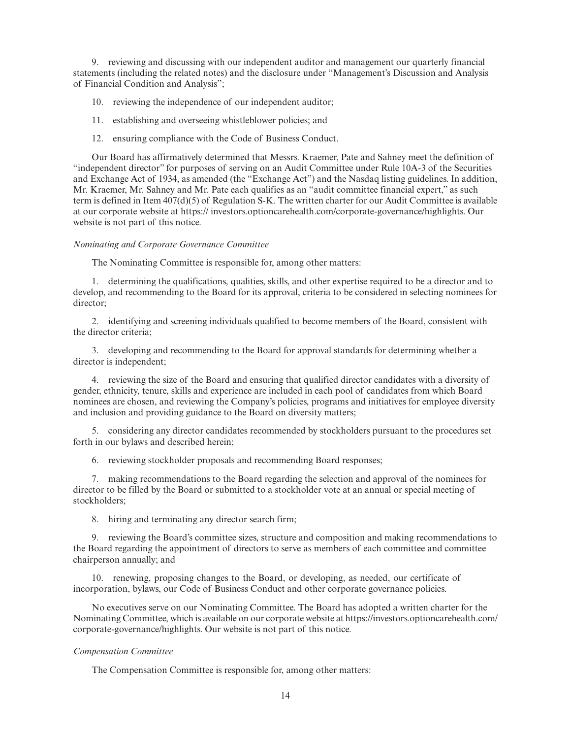9. reviewing and discussing with our independent auditor and management our quarterly financial statements (including the related notes) and the disclosure under "Management's Discussion and Analysis of Financial Condition and Analysis";

- 10. reviewing the independence of our independent auditor;
- 11. establishing and overseeing whistleblower policies; and
- 12. ensuring compliance with the Code of Business Conduct.

Our Board has affirmatively determined that Messrs. Kraemer, Pate and Sahney meet the definition of "independent director" for purposes of serving on an Audit Committee under Rule 10A-3 of the Securities and Exchange Act of 1934, as amended (the "Exchange Act") and the Nasdaq listing guidelines. In addition, Mr. Kraemer, Mr. Sahney and Mr. Pate each qualifies as an "audit committee financial expert," as such term is defined in Item 407(d)(5) of Regulation S-K. The written charter for our Audit Committee is available at our corporate website at https:// investors.optioncarehealth.com/corporate-governance/highlights. Our website is not part of this notice.

#### *Nominating and Corporate Governance Committee*

The Nominating Committee is responsible for, among other matters:

1. determining the qualifications, qualities, skills, and other expertise required to be a director and to develop, and recommending to the Board for its approval, criteria to be considered in selecting nominees for director;

2. identifying and screening individuals qualified to become members of the Board, consistent with the director criteria;

3. developing and recommending to the Board for approval standards for determining whether a director is independent;

4. reviewing the size of the Board and ensuring that qualified director candidates with a diversity of gender, ethnicity, tenure, skills and experience are included in each pool of candidates from which Board nominees are chosen, and reviewing the Company's policies, programs and initiatives for employee diversity and inclusion and providing guidance to the Board on diversity matters;

5. considering any director candidates recommended by stockholders pursuant to the procedures set forth in our bylaws and described herein;

6. reviewing stockholder proposals and recommending Board responses;

7. making recommendations to the Board regarding the selection and approval of the nominees for director to be filled by the Board or submitted to a stockholder vote at an annual or special meeting of stockholders;

8. hiring and terminating any director search firm;

9. reviewing the Board's committee sizes, structure and composition and making recommendations to the Board regarding the appointment of directors to serve as members of each committee and committee chairperson annually; and

10. renewing, proposing changes to the Board, or developing, as needed, our certificate of incorporation, bylaws, our Code of Business Conduct and other corporate governance policies.

No executives serve on our Nominating Committee. The Board has adopted a written charter for the Nominating Committee, which is available on our corporate website at https://investors.optioncarehealth.com/ corporate-governance/highlights. Our website is not part of this notice.

#### *Compensation Committee*

The Compensation Committee is responsible for, among other matters: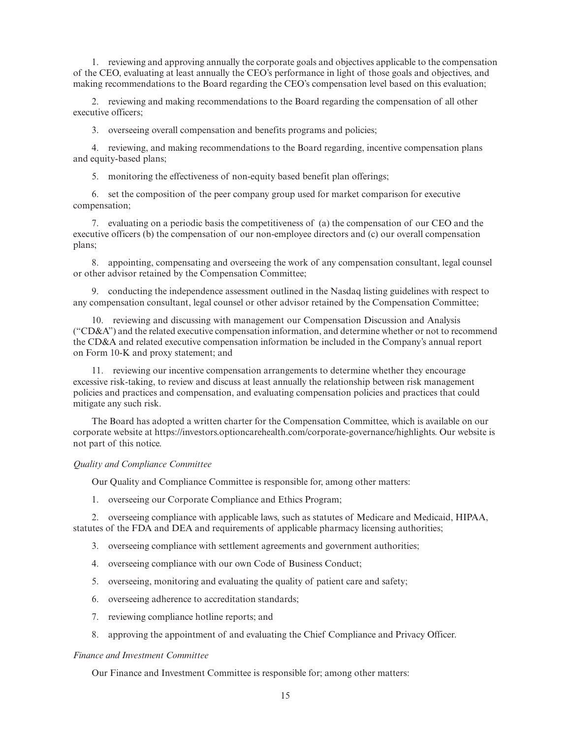1. reviewing and approving annually the corporate goals and objectives applicable to the compensation of the CEO, evaluating at least annually the CEO's performance in light of those goals and objectives, and making recommendations to the Board regarding the CEO's compensation level based on this evaluation;

2. reviewing and making recommendations to the Board regarding the compensation of all other executive officers;

3. overseeing overall compensation and benefits programs and policies;

4. reviewing, and making recommendations to the Board regarding, incentive compensation plans and equity-based plans;

5. monitoring the effectiveness of non-equity based benefit plan offerings;

6. set the composition of the peer company group used for market comparison for executive compensation;

7. evaluating on a periodic basis the competitiveness of (a) the compensation of our CEO and the executive officers (b) the compensation of our non-employee directors and (c) our overall compensation plans;

8. appointing, compensating and overseeing the work of any compensation consultant, legal counsel or other advisor retained by the Compensation Committee;

9. conducting the independence assessment outlined in the Nasdaq listing guidelines with respect to any compensation consultant, legal counsel or other advisor retained by the Compensation Committee;

10. reviewing and discussing with management our Compensation Discussion and Analysis ("CD&A") and the related executive compensation information, and determine whether or not to recommend the CD&A and related executive compensation information be included in the Company's annual report on Form 10-K and proxy statement; and

11. reviewing our incentive compensation arrangements to determine whether they encourage excessive risk-taking, to review and discuss at least annually the relationship between risk management policies and practices and compensation, and evaluating compensation policies and practices that could mitigate any such risk.

The Board has adopted a written charter for the Compensation Committee, which is available on our corporate website at https://investors.optioncarehealth.com/corporate-governance/highlights. Our website is not part of this notice.

### *Quality and Compliance Committee*

Our Quality and Compliance Committee is responsible for, among other matters:

1. overseeing our Corporate Compliance and Ethics Program;

2. overseeing compliance with applicable laws, such as statutes of Medicare and Medicaid, HIPAA, statutes of the FDA and DEA and requirements of applicable pharmacy licensing authorities;

- 3. overseeing compliance with settlement agreements and government authorities;
- 4. overseeing compliance with our own Code of Business Conduct;
- 5. overseeing, monitoring and evaluating the quality of patient care and safety;
- 6. overseeing adherence to accreditation standards;
- 7. reviewing compliance hotline reports; and
- 8. approving the appointment of and evaluating the Chief Compliance and Privacy Officer.

#### *Finance and Investment Committee*

Our Finance and Investment Committee is responsible for; among other matters: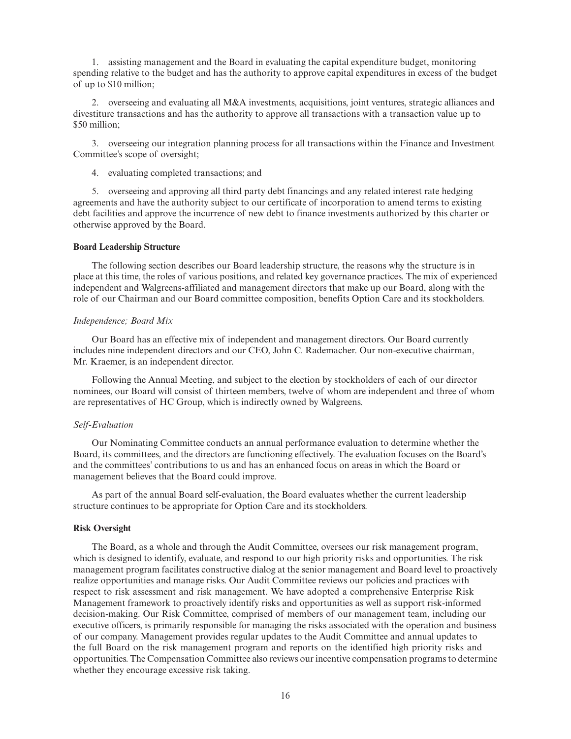1. assisting management and the Board in evaluating the capital expenditure budget, monitoring spending relative to the budget and has the authority to approve capital expenditures in excess of the budget of up to \$10 million;

2. overseeing and evaluating all M&A investments, acquisitions, joint ventures, strategic alliances and divestiture transactions and has the authority to approve all transactions with a transaction value up to \$50 million;

3. overseeing our integration planning process for all transactions within the Finance and Investment Committee's scope of oversight;

4. evaluating completed transactions; and

5. overseeing and approving all third party debt financings and any related interest rate hedging agreements and have the authority subject to our certificate of incorporation to amend terms to existing debt facilities and approve the incurrence of new debt to finance investments authorized by this charter or otherwise approved by the Board.

#### **Board Leadership Structure**

The following section describes our Board leadership structure, the reasons why the structure is in place at this time, the roles of various positions, and related key governance practices. The mix of experienced independent and Walgreens-affiliated and management directors that make up our Board, along with the role of our Chairman and our Board committee composition, benefits Option Care and its stockholders.

#### *Independence; Board Mix*

Our Board has an effective mix of independent and management directors. Our Board currently includes nine independent directors and our CEO, John C. Rademacher. Our non-executive chairman, Mr. Kraemer, is an independent director.

Following the Annual Meeting, and subject to the election by stockholders of each of our director nominees, our Board will consist of thirteen members, twelve of whom are independent and three of whom are representatives of HC Group, which is indirectly owned by Walgreens.

#### *Self-Evaluation*

Our Nominating Committee conducts an annual performance evaluation to determine whether the Board, its committees, and the directors are functioning effectively. The evaluation focuses on the Board's and the committees' contributions to us and has an enhanced focus on areas in which the Board or management believes that the Board could improve.

As part of the annual Board self-evaluation, the Board evaluates whether the current leadership structure continues to be appropriate for Option Care and its stockholders.

#### **Risk Oversight**

The Board, as a whole and through the Audit Committee, oversees our risk management program, which is designed to identify, evaluate, and respond to our high priority risks and opportunities. The risk management program facilitates constructive dialog at the senior management and Board level to proactively realize opportunities and manage risks. Our Audit Committee reviews our policies and practices with respect to risk assessment and risk management. We have adopted a comprehensive Enterprise Risk Management framework to proactively identify risks and opportunities as well as support risk-informed decision-making. Our Risk Committee, comprised of members of our management team, including our executive officers, is primarily responsible for managing the risks associated with the operation and business of our company. Management provides regular updates to the Audit Committee and annual updates to the full Board on the risk management program and reports on the identified high priority risks and opportunities. The Compensation Committee also reviews our incentive compensation programs to determine whether they encourage excessive risk taking.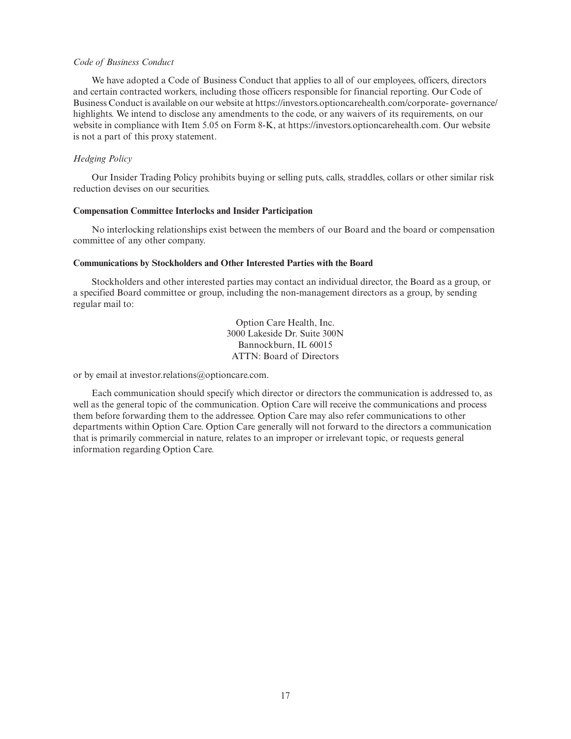#### *Code of Business Conduct*

We have adopted a Code of Business Conduct that applies to all of our employees, officers, directors and certain contracted workers, including those officers responsible for financial reporting. Our Code of Business Conduct is available on our website at https://investors.optioncarehealth.com/corporate- governance/ highlights. We intend to disclose any amendments to the code, or any waivers of its requirements, on our website in compliance with Item 5.05 on Form 8-K, at https://investors.optioncarehealth.com. Our website is not a part of this proxy statement.

# *Hedging Policy*

Our Insider Trading Policy prohibits buying or selling puts, calls, straddles, collars or other similar risk reduction devises on our securities.

### **Compensation Committee Interlocks and Insider Participation**

No interlocking relationships exist between the members of our Board and the board or compensation committee of any other company.

### **Communications by Stockholders and Other Interested Parties with the Board**

Stockholders and other interested parties may contact an individual director, the Board as a group, or a specified Board committee or group, including the non-management directors as a group, by sending regular mail to:

> Option Care Health, Inc. 3000 Lakeside Dr. Suite 300N Bannockburn, IL 60015 ATTN: Board of Directors

or by email at investor.relations@optioncare.com.

Each communication should specify which director or directors the communication is addressed to, as well as the general topic of the communication. Option Care will receive the communications and process them before forwarding them to the addressee. Option Care may also refer communications to other departments within Option Care. Option Care generally will not forward to the directors a communication that is primarily commercial in nature, relates to an improper or irrelevant topic, or requests general information regarding Option Care.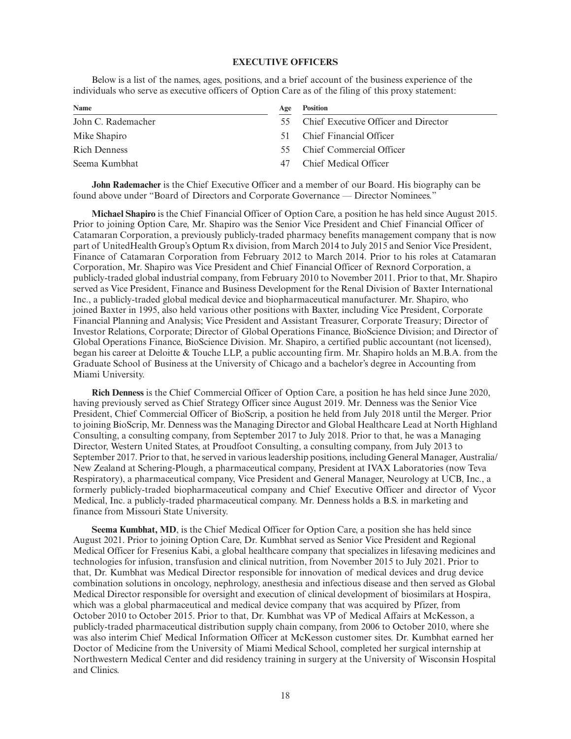### **EXECUTIVE OFFICERS**

Below is a list of the names, ages, positions, and a brief account of the business experience of the individuals who serve as executive officers of Option Care as of the filing of this proxy statement:

| Age | <b>Position</b>                      |
|-----|--------------------------------------|
| 55. | Chief Executive Officer and Director |
| 51  | Chief Financial Officer              |
| 55. | Chief Commercial Officer             |
| 47  | Chief Medical Officer                |
|     |                                      |

**John Rademacher** is the Chief Executive Officer and a member of our Board. His biography can be found above under "Board of Directors and Corporate Governance — Director Nominees."

**Michael Shapiro** is the Chief Financial Officer of Option Care, a position he has held since August 2015. Prior to joining Option Care, Mr. Shapiro was the Senior Vice President and Chief Financial Officer of Catamaran Corporation, a previously publicly-traded pharmacy benefits management company that is now part of UnitedHealth Group's Optum Rx division, from March 2014 to July 2015 and Senior Vice President, Finance of Catamaran Corporation from February 2012 to March 2014. Prior to his roles at Catamaran Corporation, Mr. Shapiro was Vice President and Chief Financial Officer of Rexnord Corporation, a publicly-traded global industrial company, from February 2010 to November 2011. Prior to that, Mr. Shapiro served as Vice President, Finance and Business Development for the Renal Division of Baxter International Inc., a publicly-traded global medical device and biopharmaceutical manufacturer. Mr. Shapiro, who joined Baxter in 1995, also held various other positions with Baxter, including Vice President, Corporate Financial Planning and Analysis; Vice President and Assistant Treasurer, Corporate Treasury; Director of Investor Relations, Corporate; Director of Global Operations Finance, BioScience Division; and Director of Global Operations Finance, BioScience Division. Mr. Shapiro, a certified public accountant (not licensed), began his career at Deloitte & Touche LLP, a public accounting firm. Mr. Shapiro holds an M.B.A. from the Graduate School of Business at the University of Chicago and a bachelor's degree in Accounting from Miami University.

**Rich Denness** is the Chief Commercial Officer of Option Care, a position he has held since June 2020, having previously served as Chief Strategy Officer since August 2019. Mr. Denness was the Senior Vice President, Chief Commercial Officer of BioScrip, a position he held from July 2018 until the Merger. Prior to joining BioScrip, Mr. Denness was the Managing Director and Global Healthcare Lead at North Highland Consulting, a consulting company, from September 2017 to July 2018. Prior to that, he was a Managing Director, Western United States, at Proudfoot Consulting, a consulting company, from July 2013 to September 2017. Prior to that, he served in various leadership positions, including General Manager, Australia/ New Zealand at Schering-Plough, a pharmaceutical company, President at IVAX Laboratories (now Teva Respiratory), a pharmaceutical company, Vice President and General Manager, Neurology at UCB, Inc., a formerly publicly-traded biopharmaceutical company and Chief Executive Officer and director of Vycor Medical, Inc. a publicly-traded pharmaceutical company. Mr. Denness holds a B.S. in marketing and finance from Missouri State University.

**Seema Kumbhat, MD**, is the Chief Medical Officer for Option Care, a position she has held since August 2021. Prior to joining Option Care, Dr. Kumbhat served as Senior Vice President and Regional Medical Officer for Fresenius Kabi, a global healthcare company that specializes in lifesaving medicines and technologies for infusion, transfusion and clinical nutrition, from November 2015 to July 2021. Prior to that, Dr. Kumbhat was Medical Director responsible for innovation of medical devices and drug device combination solutions in oncology, nephrology, anesthesia and infectious disease and then served as Global Medical Director responsible for oversight and execution of clinical development of biosimilars at Hospira, which was a global pharmaceutical and medical device company that was acquired by Pfizer, from October 2010 to October 2015. Prior to that, Dr. Kumbhat was VP of Medical Affairs at McKesson, a publicly-traded pharmaceutical distribution supply chain company, from 2006 to October 2010, where she was also interim Chief Medical Information Officer at McKesson customer sites. Dr. Kumbhat earned her Doctor of Medicine from the University of Miami Medical School, completed her surgical internship at Northwestern Medical Center and did residency training in surgery at the University of Wisconsin Hospital and Clinics.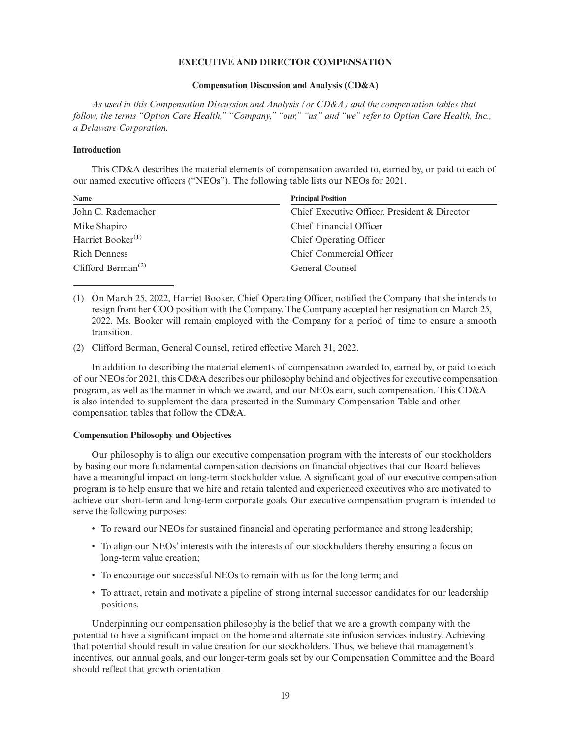### **EXECUTIVE AND DIRECTOR COMPENSATION**

#### **Compensation Discussion and Analysis (CD&A)**

*As used in this Compensation Discussion and Analysis (or CD&A) and the compensation tables that follow, the terms "Option Care Health," "Company," "our," "us," and "we" refer to Option Care Health, Inc., a Delaware Corporation.*

#### **Introduction**

This CD&A describes the material elements of compensation awarded to, earned by, or paid to each of our named executive officers ("NEOs"). The following table lists our NEOs for 2021.

| Name                                        | <b>Principal Position</b>                     |  |  |  |  |
|---------------------------------------------|-----------------------------------------------|--|--|--|--|
| John C. Rademacher                          | Chief Executive Officer, President & Director |  |  |  |  |
| Mike Shapiro                                | Chief Financial Officer                       |  |  |  |  |
| Harriet Booker $(1)$                        | Chief Operating Officer                       |  |  |  |  |
| <b>Rich Denness</b>                         | Chief Commercial Officer                      |  |  |  |  |
| Clifford Berman <sup><math>(2)</math></sup> | General Counsel                               |  |  |  |  |

(1) On March 25, 2022, Harriet Booker, Chief Operating Officer, notified the Company that she intends to resign from her COO position with the Company. The Company accepted her resignation on March 25, 2022. Ms. Booker will remain employed with the Company for a period of time to ensure a smooth transition.

(2) Clifford Berman, General Counsel, retired effective March 31, 2022.

In addition to describing the material elements of compensation awarded to, earned by, or paid to each of our NEOs for 2021, this CD&A describes our philosophy behind and objectives for executive compensation program, as well as the manner in which we award, and our NEOs earn, such compensation. This CD&A is also intended to supplement the data presented in the Summary Compensation Table and other compensation tables that follow the CD&A.

#### **Compensation Philosophy and Objectives**

Our philosophy is to align our executive compensation program with the interests of our stockholders by basing our more fundamental compensation decisions on financial objectives that our Board believes have a meaningful impact on long-term stockholder value. A significant goal of our executive compensation program is to help ensure that we hire and retain talented and experienced executives who are motivated to achieve our short-term and long-term corporate goals. Our executive compensation program is intended to serve the following purposes:

- To reward our NEOs for sustained financial and operating performance and strong leadership;
- To align our NEOs' interests with the interests of our stockholders thereby ensuring a focus on long-term value creation;
- To encourage our successful NEOs to remain with us for the long term; and
- To attract, retain and motivate a pipeline of strong internal successor candidates for our leadership positions.

Underpinning our compensation philosophy is the belief that we are a growth company with the potential to have a significant impact on the home and alternate site infusion services industry. Achieving that potential should result in value creation for our stockholders. Thus, we believe that management's incentives, our annual goals, and our longer-term goals set by our Compensation Committee and the Board should reflect that growth orientation.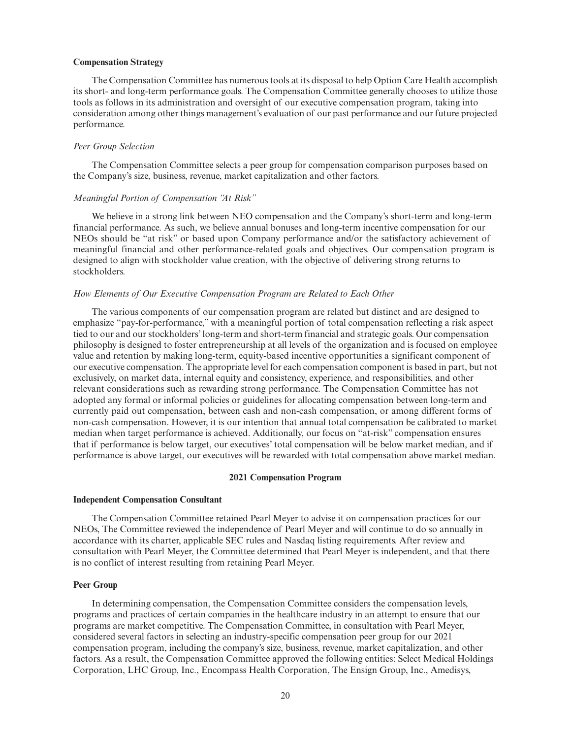#### **Compensation Strategy**

The Compensation Committee has numerous tools at its disposal to help Option Care Health accomplish its short- and long-term performance goals. The Compensation Committee generally chooses to utilize those tools as follows in its administration and oversight of our executive compensation program, taking into consideration among other things management's evaluation of our past performance and our future projected performance.

### *Peer Group Selection*

The Compensation Committee selects a peer group for compensation comparison purposes based on the Company's size, business, revenue, market capitalization and other factors.

### *Meaningful Portion of Compensation "At Risk"*

We believe in a strong link between NEO compensation and the Company's short-term and long-term financial performance. As such, we believe annual bonuses and long-term incentive compensation for our NEOs should be "at risk" or based upon Company performance and/or the satisfactory achievement of meaningful financial and other performance-related goals and objectives. Our compensation program is designed to align with stockholder value creation, with the objective of delivering strong returns to stockholders.

### *How Elements of Our Executive Compensation Program are Related to Each Other*

The various components of our compensation program are related but distinct and are designed to emphasize "pay-for-performance," with a meaningful portion of total compensation reflecting a risk aspect tied to our and our stockholders' long-term and short-term financial and strategic goals. Our compensation philosophy is designed to foster entrepreneurship at all levels of the organization and is focused on employee value and retention by making long-term, equity-based incentive opportunities a significant component of our executive compensation. The appropriate level for each compensation component is based in part, but not exclusively, on market data, internal equity and consistency, experience, and responsibilities, and other relevant considerations such as rewarding strong performance. The Compensation Committee has not adopted any formal or informal policies or guidelines for allocating compensation between long-term and currently paid out compensation, between cash and non-cash compensation, or among different forms of non-cash compensation. However, it is our intention that annual total compensation be calibrated to market median when target performance is achieved. Additionally, our focus on "at-risk" compensation ensures that if performance is below target, our executives' total compensation will be below market median, and if performance is above target, our executives will be rewarded with total compensation above market median.

### **2021 Compensation Program**

### **Independent Compensation Consultant**

The Compensation Committee retained Pearl Meyer to advise it on compensation practices for our NEOs, The Committee reviewed the independence of Pearl Meyer and will continue to do so annually in accordance with its charter, applicable SEC rules and Nasdaq listing requirements. After review and consultation with Pearl Meyer, the Committee determined that Pearl Meyer is independent, and that there is no conflict of interest resulting from retaining Pearl Meyer.

### **Peer Group**

In determining compensation, the Compensation Committee considers the compensation levels, programs and practices of certain companies in the healthcare industry in an attempt to ensure that our programs are market competitive. The Compensation Committee, in consultation with Pearl Meyer, considered several factors in selecting an industry-specific compensation peer group for our 2021 compensation program, including the company's size, business, revenue, market capitalization, and other factors. As a result, the Compensation Committee approved the following entities: Select Medical Holdings Corporation, LHC Group, Inc., Encompass Health Corporation, The Ensign Group, Inc., Amedisys,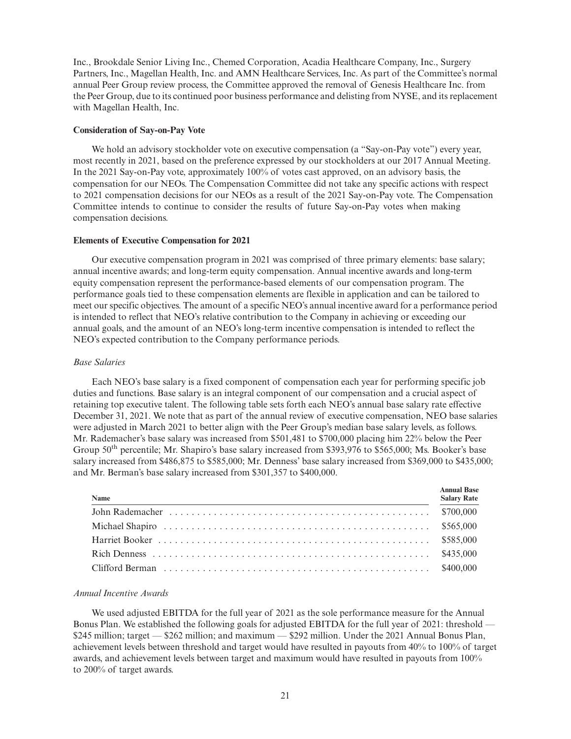Inc., Brookdale Senior Living Inc., Chemed Corporation, Acadia Healthcare Company, Inc., Surgery Partners, Inc., Magellan Health, Inc. and AMN Healthcare Services, Inc. As part of the Committee's normal annual Peer Group review process, the Committee approved the removal of Genesis Healthcare Inc. from the Peer Group, due to its continued poor business performance and delisting from NYSE, and its replacement with Magellan Health, Inc.

### **Consideration of Say-on-Pay Vote**

We hold an advisory stockholder vote on executive compensation (a "Say-on-Pay vote") every year, most recently in 2021, based on the preference expressed by our stockholders at our 2017 Annual Meeting. In the 2021 Say-on-Pay vote, approximately 100% of votes cast approved, on an advisory basis, the compensation for our NEOs. The Compensation Committee did not take any specific actions with respect to 2021 compensation decisions for our NEOs as a result of the 2021 Say-on-Pay vote. The Compensation Committee intends to continue to consider the results of future Say-on-Pay votes when making compensation decisions.

### **Elements of Executive Compensation for 2021**

Our executive compensation program in 2021 was comprised of three primary elements: base salary; annual incentive awards; and long-term equity compensation. Annual incentive awards and long-term equity compensation represent the performance-based elements of our compensation program. The performance goals tied to these compensation elements are flexible in application and can be tailored to meet our specific objectives. The amount of a specific NEO's annual incentive award for a performance period is intended to reflect that NEO's relative contribution to the Company in achieving or exceeding our annual goals, and the amount of an NEO's long-term incentive compensation is intended to reflect the NEO's expected contribution to the Company performance periods.

### *Base Salaries*

Each NEO's base salary is a fixed component of compensation each year for performing specific job duties and functions. Base salary is an integral component of our compensation and a crucial aspect of retaining top executive talent. The following table sets forth each NEO's annual base salary rate effective December 31, 2021. We note that as part of the annual review of executive compensation, NEO base salaries were adjusted in March 2021 to better align with the Peer Group's median base salary levels, as follows. Mr. Rademacher's base salary was increased from \$501,481 to \$700,000 placing him 22% below the Peer Group 50<sup>th</sup> percentile; Mr. Shapiro's base salary increased from \$393,976 to \$565,000; Ms. Booker's base salary increased from \$486,875 to \$585,000; Mr. Denness' base salary increased from \$369,000 to \$435,000; and Mr. Berman's base salary increased from \$301,357 to \$400,000.

| Name | <b>Annual Base</b><br><b>Salary Rate</b> |
|------|------------------------------------------|
|      |                                          |
|      |                                          |
|      |                                          |
|      |                                          |
|      |                                          |

## *Annual Incentive Awards*

We used adjusted EBITDA for the full year of 2021 as the sole performance measure for the Annual Bonus Plan. We established the following goals for adjusted EBITDA for the full year of 2021: threshold — \$245 million; target — \$262 million; and maximum — \$292 million. Under the 2021 Annual Bonus Plan, achievement levels between threshold and target would have resulted in payouts from 40% to 100% of target awards, and achievement levels between target and maximum would have resulted in payouts from 100% to 200% of target awards.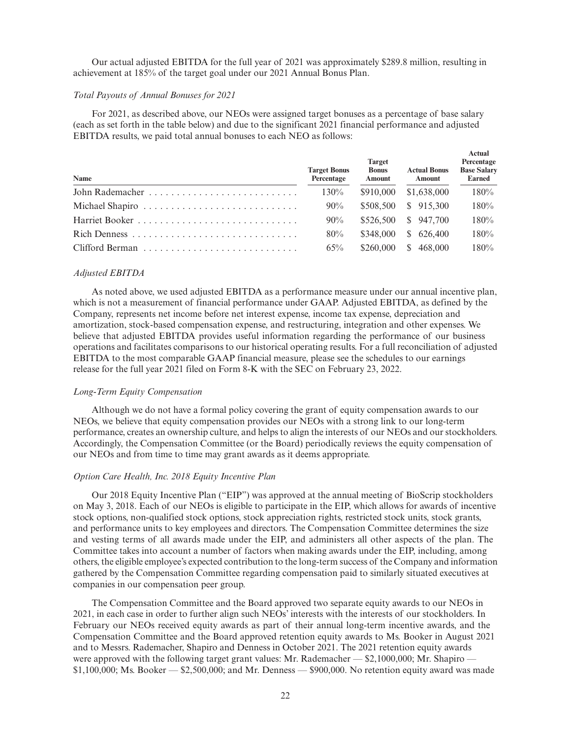Our actual adjusted EBITDA for the full year of 2021 was approximately \$289.8 million, resulting in achievement at 185% of the target goal under our 2021 Annual Bonus Plan.

#### *Total Payouts of Annual Bonuses for 2021*

For 2021, as described above, our NEOs were assigned target bonuses as a percentage of base salary (each as set forth in the table below) and due to the significant 2021 financial performance and adjusted EBITDA results, we paid total annual bonuses to each NEO as follows:

| Name | <b>Target Bonus</b><br>Percentage | <b>Target</b><br><b>Bonus</b><br><b>Amount</b> | <b>Actual Bonus</b><br><b>Amount</b> | жили<br>Percentage<br><b>Base Salary</b><br>Earned |
|------|-----------------------------------|------------------------------------------------|--------------------------------------|----------------------------------------------------|
|      | 130%                              | \$910,000                                      | \$1,638,000                          | 180%                                               |
|      | $90\%$                            | \$508,500                                      | \$915,300                            | 180%                                               |
|      | $90\%$                            | \$526.500                                      | \$947.700                            | 180%                                               |
|      | 80%                               | \$348,000                                      | \$626,400                            | 180%                                               |
|      | 65%                               | \$260,000                                      | 468,000<br>S.                        | 180%                                               |

**Actual**

### *Adjusted EBITDA*

As noted above, we used adjusted EBITDA as a performance measure under our annual incentive plan, which is not a measurement of financial performance under GAAP. Adjusted EBITDA, as defined by the Company, represents net income before net interest expense, income tax expense, depreciation and amortization, stock-based compensation expense, and restructuring, integration and other expenses. We believe that adjusted EBITDA provides useful information regarding the performance of our business operations and facilitates comparisons to our historical operating results. For a full reconciliation of adjusted EBITDA to the most comparable GAAP financial measure, please see the schedules to our earnings release for the full year 2021 filed on Form 8-K with the SEC on February 23, 2022.

### *Long-Term Equity Compensation*

Although we do not have a formal policy covering the grant of equity compensation awards to our NEOs, we believe that equity compensation provides our NEOs with a strong link to our long-term performance, creates an ownership culture, and helps to align the interests of our NEOs and our stockholders. Accordingly, the Compensation Committee (or the Board) periodically reviews the equity compensation of our NEOs and from time to time may grant awards as it deems appropriate.

# *Option Care Health, Inc. 2018 Equity Incentive Plan*

Our 2018 Equity Incentive Plan ("EIP") was approved at the annual meeting of BioScrip stockholders on May 3, 2018. Each of our NEOs is eligible to participate in the EIP, which allows for awards of incentive stock options, non-qualified stock options, stock appreciation rights, restricted stock units, stock grants, and performance units to key employees and directors. The Compensation Committee determines the size and vesting terms of all awards made under the EIP, and administers all other aspects of the plan. The Committee takes into account a number of factors when making awards under the EIP, including, among others, the eligible employee's expected contribution to the long-term success of the Company and information gathered by the Compensation Committee regarding compensation paid to similarly situated executives at companies in our compensation peer group.

The Compensation Committee and the Board approved two separate equity awards to our NEOs in 2021, in each case in order to further align such NEOs' interests with the interests of our stockholders. In February our NEOs received equity awards as part of their annual long-term incentive awards, and the Compensation Committee and the Board approved retention equity awards to Ms. Booker in August 2021 and to Messrs. Rademacher, Shapiro and Denness in October 2021. The 2021 retention equity awards were approved with the following target grant values: Mr. Rademacher — \$2,1000,000; Mr. Shapiro — \$1,100,000; Ms. Booker — \$2,500,000; and Mr. Denness — \$900,000. No retention equity award was made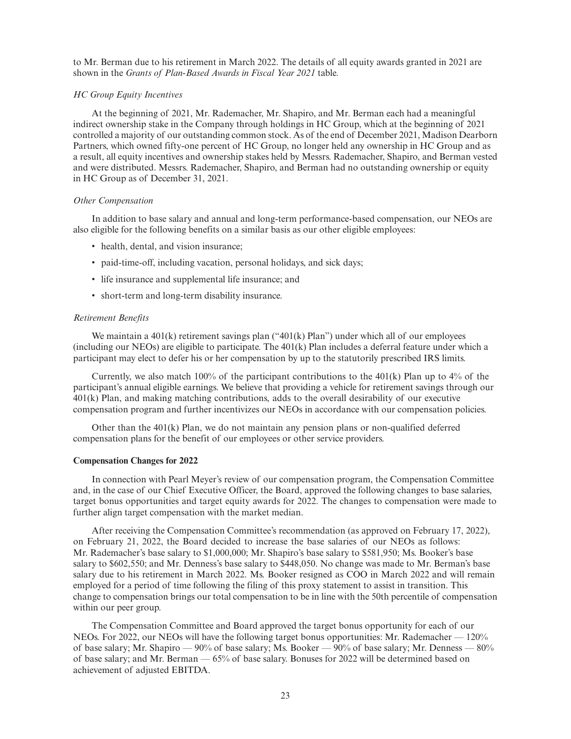to Mr. Berman due to his retirement in March 2022. The details of all equity awards granted in 2021 are shown in the *Grants of Plan-Based Awards in Fiscal Year 2021* table.

#### *HC Group Equity Incentives*

At the beginning of 2021, Mr. Rademacher, Mr. Shapiro, and Mr. Berman each had a meaningful indirect ownership stake in the Company through holdings in HC Group, which at the beginning of 2021 controlled a majority of our outstanding common stock. As of the end of December 2021, Madison Dearborn Partners, which owned fifty-one percent of HC Group, no longer held any ownership in HC Group and as a result, all equity incentives and ownership stakes held by Messrs. Rademacher, Shapiro, and Berman vested and were distributed. Messrs. Rademacher, Shapiro, and Berman had no outstanding ownership or equity in HC Group as of December 31, 2021.

### *Other Compensation*

In addition to base salary and annual and long-term performance-based compensation, our NEOs are also eligible for the following benefits on a similar basis as our other eligible employees:

- health, dental, and vision insurance;
- paid-time-off, including vacation, personal holidays, and sick days;
- life insurance and supplemental life insurance; and
- short-term and long-term disability insurance.

### *Retirement Benefits*

We maintain a  $401(k)$  retirement savings plan (" $401(k)$  Plan") under which all of our employees (including our NEOs) are eligible to participate. The 401(k) Plan includes a deferral feature under which a participant may elect to defer his or her compensation by up to the statutorily prescribed IRS limits.

Currently, we also match  $100\%$  of the participant contributions to the  $401(k)$  Plan up to  $4\%$  of the participant's annual eligible earnings. We believe that providing a vehicle for retirement savings through our 401(k) Plan, and making matching contributions, adds to the overall desirability of our executive compensation program and further incentivizes our NEOs in accordance with our compensation policies.

Other than the  $401(k)$  Plan, we do not maintain any pension plans or non-qualified deferred compensation plans for the benefit of our employees or other service providers.

#### **Compensation Changes for 2022**

In connection with Pearl Meyer's review of our compensation program, the Compensation Committee and, in the case of our Chief Executive Officer, the Board, approved the following changes to base salaries, target bonus opportunities and target equity awards for 2022. The changes to compensation were made to further align target compensation with the market median.

After receiving the Compensation Committee's recommendation (as approved on February 17, 2022), on February 21, 2022, the Board decided to increase the base salaries of our NEOs as follows: Mr. Rademacher's base salary to \$1,000,000; Mr. Shapiro's base salary to \$581,950; Ms. Booker's base salary to \$602,550; and Mr. Denness's base salary to \$448,050. No change was made to Mr. Berman's base salary due to his retirement in March 2022. Ms. Booker resigned as COO in March 2022 and will remain employed for a period of time following the filing of this proxy statement to assist in transition. This change to compensation brings our total compensation to be in line with the 50th percentile of compensation within our peer group.

The Compensation Committee and Board approved the target bonus opportunity for each of our NEOs. For 2022, our NEOs will have the following target bonus opportunities: Mr. Rademacher — 120% of base salary; Mr. Shapiro — 90% of base salary; Ms. Booker — 90% of base salary; Mr. Denness — 80% of base salary; and Mr. Berman — 65% of base salary. Bonuses for 2022 will be determined based on achievement of adjusted EBITDA.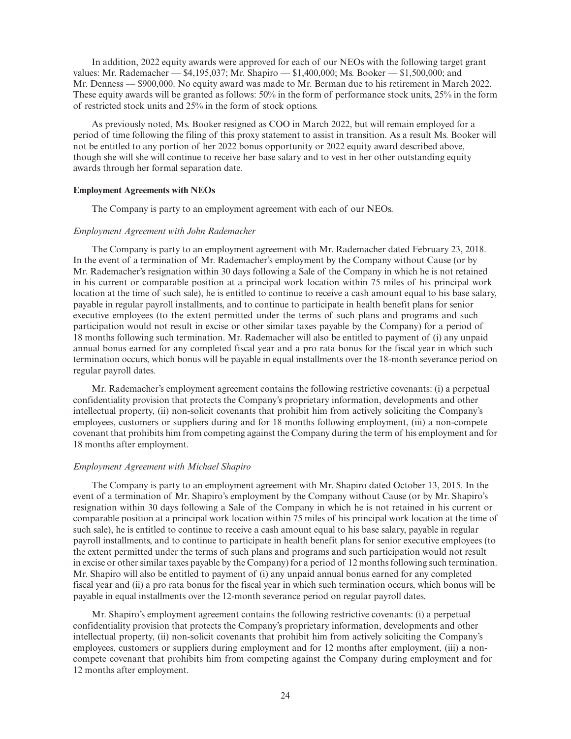In addition, 2022 equity awards were approved for each of our NEOs with the following target grant values: Mr. Rademacher — \$4,195,037; Mr. Shapiro — \$1,400,000; Ms. Booker — \$1,500,000; and Mr. Denness — \$900,000. No equity award was made to Mr. Berman due to his retirement in March 2022. These equity awards will be granted as follows: 50% in the form of performance stock units, 25% in the form of restricted stock units and 25% in the form of stock options.

As previously noted, Ms. Booker resigned as COO in March 2022, but will remain employed for a period of time following the filing of this proxy statement to assist in transition. As a result Ms. Booker will not be entitled to any portion of her 2022 bonus opportunity or 2022 equity award described above, though she will she will continue to receive her base salary and to vest in her other outstanding equity awards through her formal separation date.

### **Employment Agreements with NEOs**

The Company is party to an employment agreement with each of our NEOs.

#### *Employment Agreement with John Rademacher*

The Company is party to an employment agreement with Mr. Rademacher dated February 23, 2018. In the event of a termination of Mr. Rademacher's employment by the Company without Cause (or by Mr. Rademacher's resignation within 30 days following a Sale of the Company in which he is not retained in his current or comparable position at a principal work location within 75 miles of his principal work location at the time of such sale), he is entitled to continue to receive a cash amount equal to his base salary, payable in regular payroll installments, and to continue to participate in health benefit plans for senior executive employees (to the extent permitted under the terms of such plans and programs and such participation would not result in excise or other similar taxes payable by the Company) for a period of 18 months following such termination. Mr. Rademacher will also be entitled to payment of (i) any unpaid annual bonus earned for any completed fiscal year and a pro rata bonus for the fiscal year in which such termination occurs, which bonus will be payable in equal installments over the 18-month severance period on regular payroll dates.

Mr. Rademacher's employment agreement contains the following restrictive covenants: (i) a perpetual confidentiality provision that protects the Company's proprietary information, developments and other intellectual property, (ii) non-solicit covenants that prohibit him from actively soliciting the Company's employees, customers or suppliers during and for 18 months following employment, (iii) a non-compete covenant that prohibits him from competing against the Company during the term of his employment and for 18 months after employment.

#### *Employment Agreement with Michael Shapiro*

The Company is party to an employment agreement with Mr. Shapiro dated October 13, 2015. In the event of a termination of Mr. Shapiro's employment by the Company without Cause (or by Mr. Shapiro's resignation within 30 days following a Sale of the Company in which he is not retained in his current or comparable position at a principal work location within 75 miles of his principal work location at the time of such sale), he is entitled to continue to receive a cash amount equal to his base salary, payable in regular payroll installments, and to continue to participate in health benefit plans for senior executive employees (to the extent permitted under the terms of such plans and programs and such participation would not result in excise or other similar taxes payable by the Company) for a period of 12 months following such termination. Mr. Shapiro will also be entitled to payment of (i) any unpaid annual bonus earned for any completed fiscal year and (ii) a pro rata bonus for the fiscal year in which such termination occurs, which bonus will be payable in equal installments over the 12-month severance period on regular payroll dates.

Mr. Shapiro's employment agreement contains the following restrictive covenants: (i) a perpetual confidentiality provision that protects the Company's proprietary information, developments and other intellectual property, (ii) non-solicit covenants that prohibit him from actively soliciting the Company's employees, customers or suppliers during employment and for 12 months after employment, (iii) a noncompete covenant that prohibits him from competing against the Company during employment and for 12 months after employment.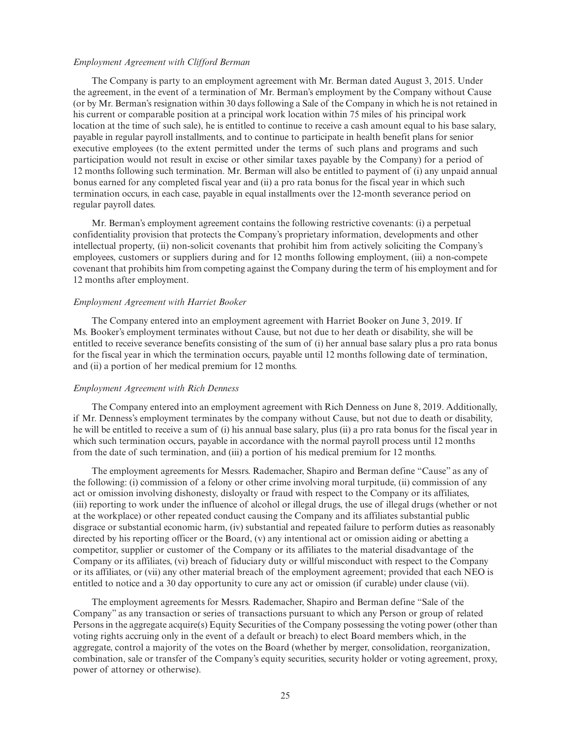### *Employment Agreement with Clifford Berman*

The Company is party to an employment agreement with Mr. Berman dated August 3, 2015. Under the agreement, in the event of a termination of Mr. Berman's employment by the Company without Cause (or by Mr. Berman's resignation within 30 days following a Sale of the Company in which he is not retained in his current or comparable position at a principal work location within 75 miles of his principal work location at the time of such sale), he is entitled to continue to receive a cash amount equal to his base salary, payable in regular payroll installments, and to continue to participate in health benefit plans for senior executive employees (to the extent permitted under the terms of such plans and programs and such participation would not result in excise or other similar taxes payable by the Company) for a period of 12 months following such termination. Mr. Berman will also be entitled to payment of (i) any unpaid annual bonus earned for any completed fiscal year and (ii) a pro rata bonus for the fiscal year in which such termination occurs, in each case, payable in equal installments over the 12-month severance period on regular payroll dates.

Mr. Berman's employment agreement contains the following restrictive covenants: (i) a perpetual confidentiality provision that protects the Company's proprietary information, developments and other intellectual property, (ii) non-solicit covenants that prohibit him from actively soliciting the Company's employees, customers or suppliers during and for 12 months following employment, (iii) a non-compete covenant that prohibits him from competing against the Company during the term of his employment and for 12 months after employment.

#### *Employment Agreement with Harriet Booker*

The Company entered into an employment agreement with Harriet Booker on June 3, 2019. If Ms. Booker's employment terminates without Cause, but not due to her death or disability, she will be entitled to receive severance benefits consisting of the sum of (i) her annual base salary plus a pro rata bonus for the fiscal year in which the termination occurs, payable until 12 months following date of termination, and (ii) a portion of her medical premium for 12 months.

#### *Employment Agreement with Rich Denness*

The Company entered into an employment agreement with Rich Denness on June 8, 2019. Additionally, if Mr. Denness's employment terminates by the company without Cause, but not due to death or disability, he will be entitled to receive a sum of (i) his annual base salary, plus (ii) a pro rata bonus for the fiscal year in which such termination occurs, payable in accordance with the normal payroll process until 12 months from the date of such termination, and (iii) a portion of his medical premium for 12 months.

The employment agreements for Messrs. Rademacher, Shapiro and Berman define "Cause" as any of the following: (i) commission of a felony or other crime involving moral turpitude, (ii) commission of any act or omission involving dishonesty, disloyalty or fraud with respect to the Company or its affiliates, (iii) reporting to work under the influence of alcohol or illegal drugs, the use of illegal drugs (whether or not at the workplace) or other repeated conduct causing the Company and its affiliates substantial public disgrace or substantial economic harm, (iv) substantial and repeated failure to perform duties as reasonably directed by his reporting officer or the Board, (v) any intentional act or omission aiding or abetting a competitor, supplier or customer of the Company or its affiliates to the material disadvantage of the Company or its affiliates, (vi) breach of fiduciary duty or willful misconduct with respect to the Company or its affiliates, or (vii) any other material breach of the employment agreement; provided that each NEO is entitled to notice and a 30 day opportunity to cure any act or omission (if curable) under clause (vii).

The employment agreements for Messrs. Rademacher, Shapiro and Berman define "Sale of the Company" as any transaction or series of transactions pursuant to which any Person or group of related Persons in the aggregate acquire(s) Equity Securities of the Company possessing the voting power (other than voting rights accruing only in the event of a default or breach) to elect Board members which, in the aggregate, control a majority of the votes on the Board (whether by merger, consolidation, reorganization, combination, sale or transfer of the Company's equity securities, security holder or voting agreement, proxy, power of attorney or otherwise).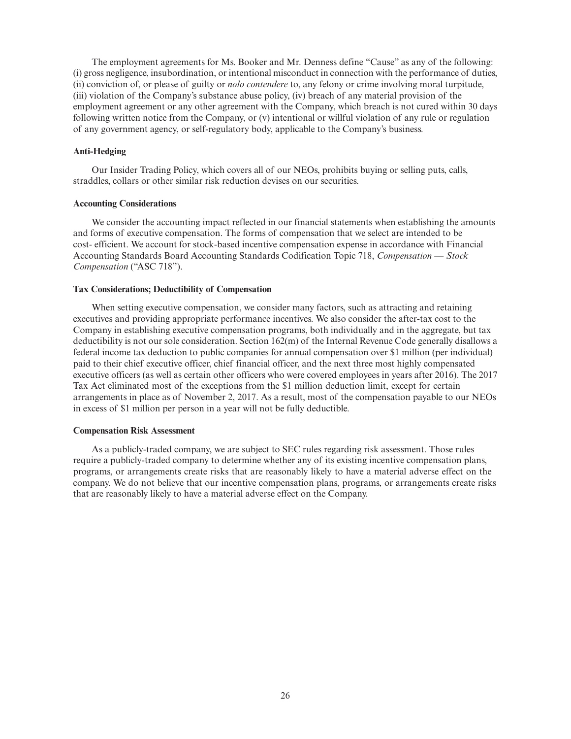The employment agreements for Ms. Booker and Mr. Denness define "Cause" as any of the following: (i) gross negligence, insubordination, or intentional misconduct in connection with the performance of duties, (ii) conviction of, or please of guilty or *nolo contendere* to, any felony or crime involving moral turpitude, (iii) violation of the Company's substance abuse policy, (iv) breach of any material provision of the employment agreement or any other agreement with the Company, which breach is not cured within 30 days following written notice from the Company, or (v) intentional or willful violation of any rule or regulation of any government agency, or self-regulatory body, applicable to the Company's business.

## **Anti-Hedging**

Our Insider Trading Policy, which covers all of our NEOs, prohibits buying or selling puts, calls, straddles, collars or other similar risk reduction devises on our securities.

## **Accounting Considerations**

We consider the accounting impact reflected in our financial statements when establishing the amounts and forms of executive compensation. The forms of compensation that we select are intended to be cost- efficient. We account for stock-based incentive compensation expense in accordance with Financial Accounting Standards Board Accounting Standards Codification Topic 718, *Compensation — Stock Compensation* ("ASC 718").

### **Tax Considerations; Deductibility of Compensation**

When setting executive compensation, we consider many factors, such as attracting and retaining executives and providing appropriate performance incentives. We also consider the after-tax cost to the Company in establishing executive compensation programs, both individually and in the aggregate, but tax deductibility is not our sole consideration. Section 162(m) of the Internal Revenue Code generally disallows a federal income tax deduction to public companies for annual compensation over \$1 million (per individual) paid to their chief executive officer, chief financial officer, and the next three most highly compensated executive officers (as well as certain other officers who were covered employees in years after 2016). The 2017 Tax Act eliminated most of the exceptions from the \$1 million deduction limit, except for certain arrangements in place as of November 2, 2017. As a result, most of the compensation payable to our NEOs in excess of \$1 million per person in a year will not be fully deductible.

## **Compensation Risk Assessment**

As a publicly-traded company, we are subject to SEC rules regarding risk assessment. Those rules require a publicly-traded company to determine whether any of its existing incentive compensation plans, programs, or arrangements create risks that are reasonably likely to have a material adverse effect on the company. We do not believe that our incentive compensation plans, programs, or arrangements create risks that are reasonably likely to have a material adverse effect on the Company.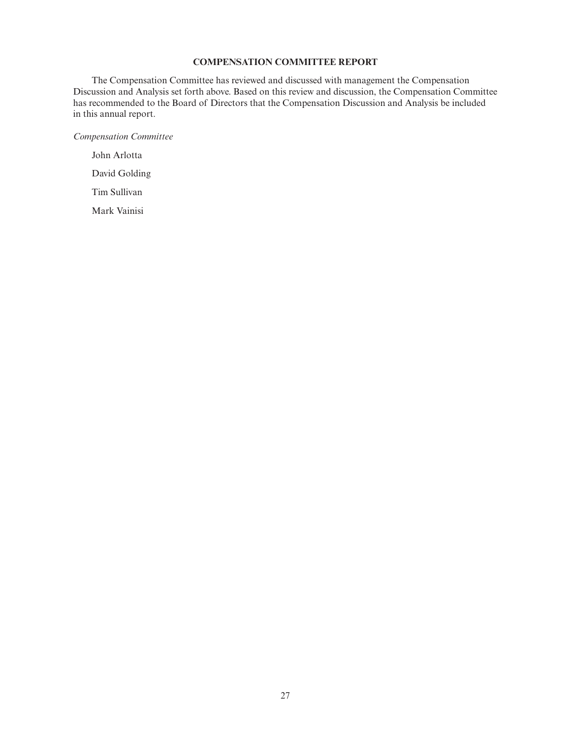# **COMPENSATION COMMITTEE REPORT**

The Compensation Committee has reviewed and discussed with management the Compensation Discussion and Analysis set forth above. Based on this review and discussion, the Compensation Committee has recommended to the Board of Directors that the Compensation Discussion and Analysis be included in this annual report.

*Compensation Committee*

John Arlotta David Golding Tim Sullivan Mark Vainisi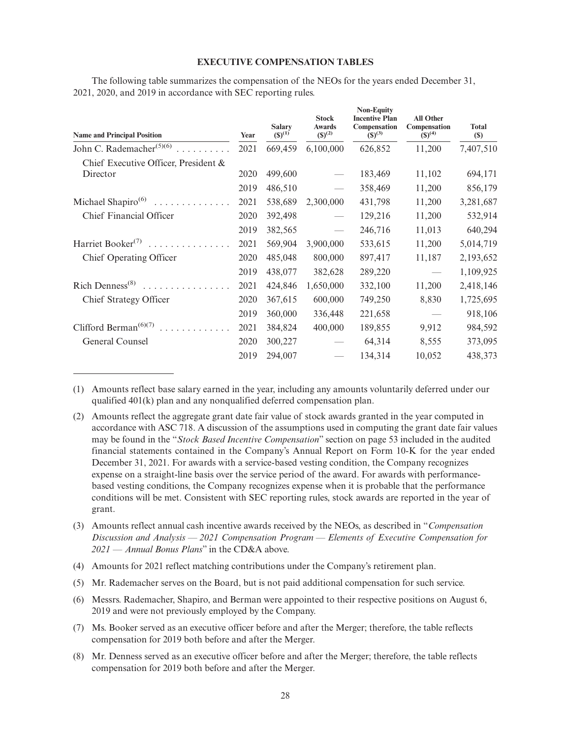## **EXECUTIVE COMPENSATION TABLES**

The following table summarizes the compensation of the NEOs for the years ended December 31, 2021, 2020, and 2019 in accordance with SEC reporting rules.

| <b>Name and Principal Position</b>             | Year | <b>Salary</b><br>$(S)^{(1)}$ | <b>Stock</b><br><b>Awards</b><br>$(S)^{(2)}$ | <b>Non-Equity</b><br><b>Incentive Plan</b><br>Compensation<br>$(S)^{(3)}$ | <b>All Other</b><br>Compensation<br>$(S)^{(4)}$ | <b>Total</b><br>$(\$)$ |
|------------------------------------------------|------|------------------------------|----------------------------------------------|---------------------------------------------------------------------------|-------------------------------------------------|------------------------|
| John C. Rademacher <sup>(5)(6)</sup>           | 2021 | 669,459                      | 6,100,000                                    | 626,852                                                                   | 11,200                                          | 7,407,510              |
| Chief Executive Officer, President &           |      |                              |                                              |                                                                           |                                                 |                        |
| Director                                       | 2020 | 499,600                      |                                              | 183,469                                                                   | 11,102                                          | 694,171                |
|                                                | 2019 | 486,510                      |                                              | 358,469                                                                   | 11,200                                          | 856,179                |
| Michael Shapiro $(6)$<br>.                     | 2021 | 538,689                      | 2,300,000                                    | 431,798                                                                   | 11,200                                          | 3,281,687              |
| Chief Financial Officer                        | 2020 | 392,498                      |                                              | 129,216                                                                   | 11,200                                          | 532,914                |
|                                                | 2019 | 382,565                      |                                              | 246,716                                                                   | 11,013                                          | 640,294                |
| Harriet Booker <sup>(7)</sup><br>.             | 2021 | 569,904                      | 3,900,000                                    | 533,615                                                                   | 11,200                                          | 5,014,719              |
| Chief Operating Officer                        | 2020 | 485,048                      | 800,000                                      | 897,417                                                                   | 11,187                                          | 2,193,652              |
|                                                | 2019 | 438,077                      | 382,628                                      | 289,220                                                                   |                                                 | 1,109,925              |
| Rich Denness <sup>(8)</sup><br>.               | 2021 | 424,846                      | 1,650,000                                    | 332,100                                                                   | 11,200                                          | 2,418,146              |
| Chief Strategy Officer                         | 2020 | 367,615                      | 600,000                                      | 749,250                                                                   | 8,830                                           | 1,725,695              |
|                                                | 2019 | 360,000                      | 336,448                                      | 221,658                                                                   |                                                 | 918,106                |
| Clifford Berman <sup><math>(6)(7)</math></sup> | 2021 | 384,824                      | 400,000                                      | 189,855                                                                   | 9,912                                           | 984,592                |
| General Counsel                                | 2020 | 300,227                      |                                              | 64,314                                                                    | 8,555                                           | 373,095                |
|                                                | 2019 | 294,007                      |                                              | 134,314                                                                   | 10,052                                          | 438,373                |

(1) Amounts reflect base salary earned in the year, including any amounts voluntarily deferred under our qualified 401(k) plan and any nonqualified deferred compensation plan.

(2) Amounts reflect the aggregate grant date fair value of stock awards granted in the year computed in accordance with ASC 718. A discussion of the assumptions used in computing the grant date fair values may be found in the "*Stock Based Incentive Compensation*" section on page 53 included in the audited financial statements contained in the Company's Annual Report on Form 10-K for the year ended December 31, 2021. For awards with a service-based vesting condition, the Company recognizes expense on a straight-line basis over the service period of the award. For awards with performancebased vesting conditions, the Company recognizes expense when it is probable that the performance conditions will be met. Consistent with SEC reporting rules, stock awards are reported in the year of grant.

(3) Amounts reflect annual cash incentive awards received by the NEOs, as described in "*Compensation Discussion and Analysis — 2021 Compensation Program — Elements of Executive Compensation for 2021 — Annual Bonus Plans*" in the CD&A above.

- (4) Amounts for 2021 reflect matching contributions under the Company's retirement plan.
- (5) Mr. Rademacher serves on the Board, but is not paid additional compensation for such service.
- (6) Messrs. Rademacher, Shapiro, and Berman were appointed to their respective positions on August 6, 2019 and were not previously employed by the Company.
- (7) Ms. Booker served as an executive officer before and after the Merger; therefore, the table reflects compensation for 2019 both before and after the Merger.
- (8) Mr. Denness served as an executive officer before and after the Merger; therefore, the table reflects compensation for 2019 both before and after the Merger.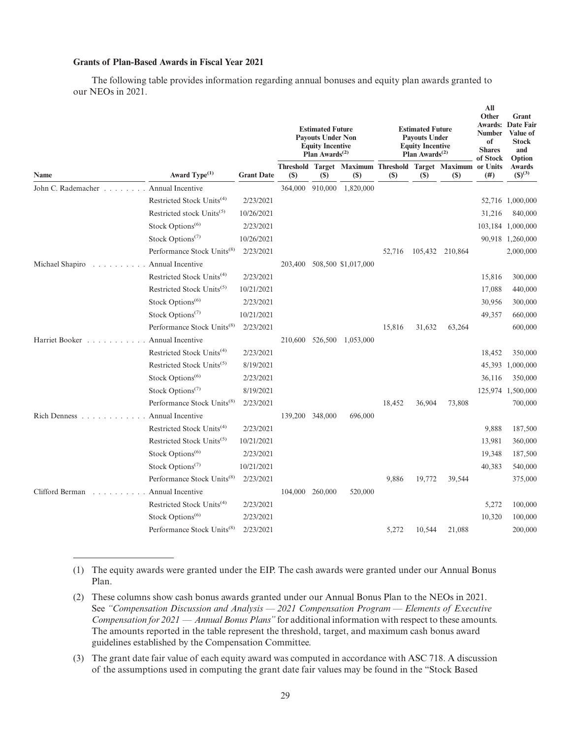# **Grants of Plan-Based Awards in Fiscal Year 2021**

The following table provides information regarding annual bonuses and equity plan awards granted to our NEOs in 2021.

|                                   |                                        |                   | <b>Estimated Future</b><br><b>Payouts Under Non</b><br><b>Equity Incentive</b><br>Plan Awards <sup><math>(2)</math></sup> |         |                                                                           | <b>Estimated Future</b><br><b>Payouts Under</b><br><b>Equity Incentive</b><br>Plan Awards <sup><math>(2)</math></sup> |        |                 | All<br>Other<br>Awards:<br><b>Number</b><br>of<br><b>Shares</b><br>of Stock | Grant<br>Date Fair<br>Value of<br><b>Stock</b><br>and<br>Option |
|-----------------------------------|----------------------------------------|-------------------|---------------------------------------------------------------------------------------------------------------------------|---------|---------------------------------------------------------------------------|-----------------------------------------------------------------------------------------------------------------------|--------|-----------------|-----------------------------------------------------------------------------|-----------------------------------------------------------------|
| Name                              | Award Type <sup>(1)</sup>              | <b>Grant Date</b> | (\$)                                                                                                                      | (S)     | Threshold Target Maximum Threshold Target Maximum or Units<br><b>(\$)</b> | <b>(\$)</b>                                                                                                           | $(S)$  | <b>(\$)</b>     | (# )                                                                        | Awards<br>$(S)^{(3)}$                                           |
| John C. Rademacher                | Annual Incentive                       |                   | 364,000                                                                                                                   | 910,000 | 1,820,000                                                                 |                                                                                                                       |        |                 |                                                                             |                                                                 |
|                                   | Restricted Stock Units <sup>(4)</sup>  | 2/23/2021         |                                                                                                                           |         |                                                                           |                                                                                                                       |        |                 |                                                                             | 52,716 1,000,000                                                |
|                                   | Restricted stock Units <sup>(5)</sup>  | 10/26/2021        |                                                                                                                           |         |                                                                           |                                                                                                                       |        |                 | 31,216                                                                      | 840,000                                                         |
|                                   | Stock Options <sup>(6)</sup>           | 2/23/2021         |                                                                                                                           |         |                                                                           |                                                                                                                       |        |                 |                                                                             | 103,184 1,000,000                                               |
|                                   | Stock Options <sup>(7)</sup>           | 10/26/2021        |                                                                                                                           |         |                                                                           |                                                                                                                       |        |                 |                                                                             | 90,918 1,260,000                                                |
|                                   | Performance Stock Units <sup>(8)</sup> | 2/23/2021         |                                                                                                                           |         |                                                                           | 52,716                                                                                                                |        | 105,432 210,864 |                                                                             | 2,000,000                                                       |
| Michael Shapiro<br>$\sim 10^{-1}$ | Annual Incentive                       |                   | 203,400                                                                                                                   |         | 508,500 \$1,017,000                                                       |                                                                                                                       |        |                 |                                                                             |                                                                 |
|                                   | Restricted Stock Units <sup>(4)</sup>  | 2/23/2021         |                                                                                                                           |         |                                                                           |                                                                                                                       |        |                 | 15,816                                                                      | 300,000                                                         |
|                                   | Restricted Stock Units <sup>(5)</sup>  | 10/21/2021        |                                                                                                                           |         |                                                                           |                                                                                                                       |        |                 | 17,088                                                                      | 440,000                                                         |
|                                   | Stock Options <sup>(6)</sup>           | 2/23/2021         |                                                                                                                           |         |                                                                           |                                                                                                                       |        |                 | 30,956                                                                      | 300,000                                                         |
|                                   | Stock Options <sup>(7)</sup>           | 10/21/2021        |                                                                                                                           |         |                                                                           |                                                                                                                       |        |                 | 49,357                                                                      | 660,000                                                         |
|                                   | Performance Stock Units <sup>(8)</sup> | 2/23/2021         |                                                                                                                           |         |                                                                           | 15,816                                                                                                                | 31,632 | 63,264          |                                                                             | 600,000                                                         |
| Harriet Booker                    | Annual Incentive                       |                   |                                                                                                                           |         | 210,600 526,500 1,053,000                                                 |                                                                                                                       |        |                 |                                                                             |                                                                 |
|                                   | Restricted Stock Units <sup>(4)</sup>  | 2/23/2021         |                                                                                                                           |         |                                                                           |                                                                                                                       |        |                 | 18,452                                                                      | 350,000                                                         |
|                                   | Restricted Stock Units <sup>(5)</sup>  | 8/19/2021         |                                                                                                                           |         |                                                                           |                                                                                                                       |        |                 | 45,393                                                                      | 1,000,000                                                       |
|                                   | Stock Options <sup>(6)</sup>           | 2/23/2021         |                                                                                                                           |         |                                                                           |                                                                                                                       |        |                 | 36,116                                                                      | 350,000                                                         |
|                                   | Stock Options <sup>(7)</sup>           | 8/19/2021         |                                                                                                                           |         |                                                                           |                                                                                                                       |        |                 | 125,974                                                                     | 1,500,000                                                       |
|                                   | Performance Stock Units <sup>(8)</sup> | 2/23/2021         |                                                                                                                           |         |                                                                           | 18,452                                                                                                                | 36,904 | 73,808          |                                                                             | 700,000                                                         |
| Rich Denness                      | Annual Incentive                       |                   | 139,200 348,000                                                                                                           |         | 696,000                                                                   |                                                                                                                       |        |                 |                                                                             |                                                                 |
|                                   | Restricted Stock Units <sup>(4)</sup>  | 2/23/2021         |                                                                                                                           |         |                                                                           |                                                                                                                       |        |                 | 9,888                                                                       | 187,500                                                         |
|                                   | Restricted Stock Units(5)              | 10/21/2021        |                                                                                                                           |         |                                                                           |                                                                                                                       |        |                 | 13,981                                                                      | 360,000                                                         |
|                                   | Stock Options <sup>(6)</sup>           | 2/23/2021         |                                                                                                                           |         |                                                                           |                                                                                                                       |        |                 | 19,348                                                                      | 187,500                                                         |
|                                   | Stock Options <sup>(7)</sup>           | 10/21/2021        |                                                                                                                           |         |                                                                           |                                                                                                                       |        |                 | 40,383                                                                      | 540,000                                                         |
|                                   | Performance Stock Units <sup>(8)</sup> | 2/23/2021         |                                                                                                                           |         |                                                                           | 9,886                                                                                                                 | 19,772 | 39,544          |                                                                             | 375,000                                                         |
| Clifford Berman                   | Annual Incentive                       |                   | 104,000                                                                                                                   | 260,000 | 520,000                                                                   |                                                                                                                       |        |                 |                                                                             |                                                                 |
|                                   | Restricted Stock Units <sup>(4)</sup>  | 2/23/2021         |                                                                                                                           |         |                                                                           |                                                                                                                       |        |                 | 5,272                                                                       | 100,000                                                         |
|                                   | Stock Options <sup>(6)</sup>           | 2/23/2021         |                                                                                                                           |         |                                                                           |                                                                                                                       |        |                 | 10,320                                                                      | 100,000                                                         |
|                                   | Performance Stock Units <sup>(8)</sup> | 2/23/2021         |                                                                                                                           |         |                                                                           | 5,272                                                                                                                 | 10,544 | 21,088          |                                                                             | 200,000                                                         |

(1) The equity awards were granted under the EIP. The cash awards were granted under our Annual Bonus Plan.

(3) The grant date fair value of each equity award was computed in accordance with ASC 718. A discussion of the assumptions used in computing the grant date fair values may be found in the "Stock Based

<sup>(2)</sup> These columns show cash bonus awards granted under our Annual Bonus Plan to the NEOs in 2021. See *"Compensation Discussion and Analysis — 2021 Compensation Program — Elements of Executive Compensation for 2021 — Annual Bonus Plans"* for additional information with respect to these amounts. The amounts reported in the table represent the threshold, target, and maximum cash bonus award guidelines established by the Compensation Committee.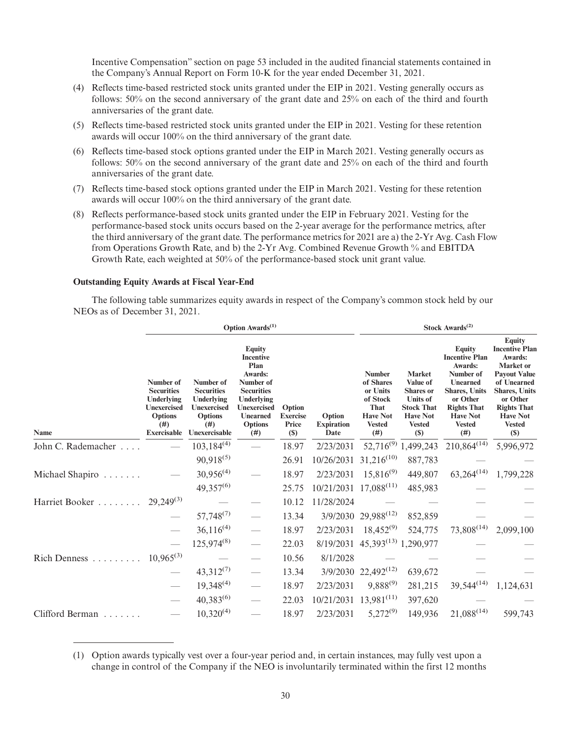Incentive Compensation" section on page 53 included in the audited financial statements contained in the Company's Annual Report on Form 10-K for the year ended December 31, 2021.

- (4) Reflects time-based restricted stock units granted under the EIP in 2021. Vesting generally occurs as follows: 50% on the second anniversary of the grant date and 25% on each of the third and fourth anniversaries of the grant date.
- (5) Reflects time-based restricted stock units granted under the EIP in 2021. Vesting for these retention awards will occur 100% on the third anniversary of the grant date.
- (6) Reflects time-based stock options granted under the EIP in March 2021. Vesting generally occurs as follows: 50% on the second anniversary of the grant date and 25% on each of the third and fourth anniversaries of the grant date.
- (7) Reflects time-based stock options granted under the EIP in March 2021. Vesting for these retention awards will occur 100% on the third anniversary of the grant date.
- (8) Reflects performance-based stock units granted under the EIP in February 2021. Vesting for the performance-based stock units occurs based on the 2-year average for the performance metrics, after the third anniversary of the grant date. The performance metrics for 2021 are a) the 2-Yr Avg. Cash Flow from Operations Growth Rate, and b) the 2-Yr Avg. Combined Revenue Growth % and EBITDA Growth Rate, each weighted at 50% of the performance-based stock unit grant value.

#### **Outstanding Equity Awards at Fiscal Year-End**

The following table summarizes equity awards in respect of the Company's common stock held by our NEOs as of December 31, 2021.

| Option Awards <sup>(1)</sup>                      |                                                                                                                    |                                                                                                               |                                                                                                                                                                         |                                           |                                     |                                                                                                        | Stock Awards <sup>(2)</sup>                                                                                                      |                                                                                                                                                                                  |                                                                                                                                                                                                                           |  |
|---------------------------------------------------|--------------------------------------------------------------------------------------------------------------------|---------------------------------------------------------------------------------------------------------------|-------------------------------------------------------------------------------------------------------------------------------------------------------------------------|-------------------------------------------|-------------------------------------|--------------------------------------------------------------------------------------------------------|----------------------------------------------------------------------------------------------------------------------------------|----------------------------------------------------------------------------------------------------------------------------------------------------------------------------------|---------------------------------------------------------------------------------------------------------------------------------------------------------------------------------------------------------------------------|--|
| Name                                              | Number of<br><b>Securities</b><br>Underlying<br><b>Unexercised</b><br><b>Options</b><br>(# )<br><b>Exercisable</b> | Number of<br><b>Securities</b><br>Underlying<br><b>Unexercised</b><br><b>Options</b><br>(# )<br>Unexercisable | <b>Equity</b><br><b>Incentive</b><br>Plan<br>Awards:<br>Number of<br><b>Securities</b><br>Underlying<br><b>Unexercised</b><br><b>Unearned</b><br><b>Options</b><br>(# ) | Option<br><b>Exercise</b><br>Price<br>(S) | Option<br><b>Expiration</b><br>Date | <b>Number</b><br>of Shares<br>or Units<br>of Stock<br>That<br><b>Have Not</b><br><b>Vested</b><br>(# ) | <b>Market</b><br>Value of<br><b>Shares</b> or<br><b>Units of</b><br><b>Stock That</b><br><b>Have Not</b><br><b>Vested</b><br>(S) | <b>Equity</b><br><b>Incentive Plan</b><br>Awards:<br>Number of<br>Unearned<br><b>Shares, Units</b><br>or Other<br><b>Rights That</b><br><b>Have Not</b><br><b>Vested</b><br>(# ) | <b>Equity</b><br><b>Incentive Plan</b><br>Awards:<br><b>Market</b> or<br><b>Payout Value</b><br>of Unearned<br><b>Shares</b> , Units<br>or Other<br><b>Rights That</b><br><b>Have Not</b><br><b>Vested</b><br><b>(\$)</b> |  |
| John C. Rademacher                                |                                                                                                                    | $103,184^{(4)}$                                                                                               |                                                                                                                                                                         | 18.97                                     | 2/23/2031                           |                                                                                                        | 52,716 <sup>(9)</sup> 1,499,243                                                                                                  | $210,864^{(14)}$                                                                                                                                                                 | 5,996,972                                                                                                                                                                                                                 |  |
|                                                   |                                                                                                                    | $90,918^{(5)}$                                                                                                |                                                                                                                                                                         | 26.91                                     | 10/26/2031                          | $31,216^{(10)}$                                                                                        | 887,783                                                                                                                          |                                                                                                                                                                                  |                                                                                                                                                                                                                           |  |
| Michael Shapiro<br>.                              |                                                                                                                    | $30,956^{(4)}$                                                                                                |                                                                                                                                                                         | 18.97                                     | 2/23/2031                           | $15,816^{(9)}$                                                                                         | 449,807                                                                                                                          | $63,264^{(14)}$                                                                                                                                                                  | 1,799,228                                                                                                                                                                                                                 |  |
|                                                   |                                                                                                                    | $49,357^{(6)}$                                                                                                |                                                                                                                                                                         | 25.75                                     | 10/21/2031 17,088 <sup>(11)</sup>   |                                                                                                        | 485,983                                                                                                                          |                                                                                                                                                                                  |                                                                                                                                                                                                                           |  |
| Harriet Booker                                    | $29,249^{(3)}$                                                                                                     |                                                                                                               |                                                                                                                                                                         | 10.12                                     | 11/28/2024                          |                                                                                                        |                                                                                                                                  |                                                                                                                                                                                  |                                                                                                                                                                                                                           |  |
|                                                   |                                                                                                                    | $57,748^{(7)}$                                                                                                |                                                                                                                                                                         | 13.34                                     |                                     | 3/9/2030 29,988 <sup>(12)</sup>                                                                        | 852,859                                                                                                                          |                                                                                                                                                                                  |                                                                                                                                                                                                                           |  |
|                                                   |                                                                                                                    | $36,116^{(4)}$                                                                                                |                                                                                                                                                                         | 18.97                                     | 2/23/2031                           | $18,452^{(9)}$                                                                                         | 524,775                                                                                                                          | $73,808^{(14)}$                                                                                                                                                                  | 2,099,100                                                                                                                                                                                                                 |  |
|                                                   |                                                                                                                    | $125,974^{(8)}$                                                                                               |                                                                                                                                                                         | 22.03                                     | 8/19/2031                           | $45,393^{(13)}$ 1,290,977                                                                              |                                                                                                                                  |                                                                                                                                                                                  |                                                                                                                                                                                                                           |  |
| $\mathsf{Rich} \mathsf{Dennes} \dots \dots \dots$ | $10,965^{(3)}$                                                                                                     |                                                                                                               |                                                                                                                                                                         | 10.56                                     | 8/1/2028                            |                                                                                                        |                                                                                                                                  |                                                                                                                                                                                  |                                                                                                                                                                                                                           |  |
|                                                   |                                                                                                                    | $43,312^{(7)}$                                                                                                |                                                                                                                                                                         | 13.34                                     |                                     | 3/9/2030 22,492 <sup>(12)</sup>                                                                        | 639,672                                                                                                                          |                                                                                                                                                                                  |                                                                                                                                                                                                                           |  |
|                                                   |                                                                                                                    | $19,348^{(4)}$                                                                                                |                                                                                                                                                                         | 18.97                                     | 2/23/2031                           | 9,888 <sup>(9)</sup>                                                                                   | 281,215                                                                                                                          | $39,544^{(14)}$                                                                                                                                                                  | 1,124,631                                                                                                                                                                                                                 |  |
|                                                   |                                                                                                                    | $40,383^{(6)}$                                                                                                |                                                                                                                                                                         | 22.03                                     | 10/21/2031                          | $13,981^{(11)}$                                                                                        | 397,620                                                                                                                          |                                                                                                                                                                                  |                                                                                                                                                                                                                           |  |
| Clifford Berman                                   |                                                                                                                    | $10,320^{(4)}$                                                                                                |                                                                                                                                                                         | 18.97                                     | 2/23/2031                           | $5,272^{(9)}$                                                                                          | 149,936                                                                                                                          | $21,088^{(14)}$                                                                                                                                                                  | 599,743                                                                                                                                                                                                                   |  |

<sup>(1)</sup> Option awards typically vest over a four-year period and, in certain instances, may fully vest upon a change in control of the Company if the NEO is involuntarily terminated within the first 12 months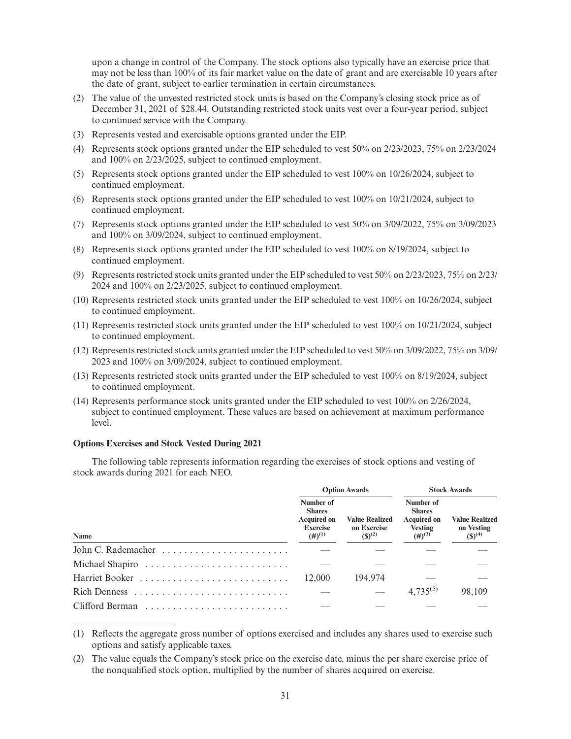upon a change in control of the Company. The stock options also typically have an exercise price that may not be less than 100% of its fair market value on the date of grant and are exercisable 10 years after the date of grant, subject to earlier termination in certain circumstances.

- (2) The value of the unvested restricted stock units is based on the Company's closing stock price as of December 31, 2021 of \$28.44. Outstanding restricted stock units vest over a four-year period, subject to continued service with the Company.
- (3) Represents vested and exercisable options granted under the EIP.
- (4) Represents stock options granted under the EIP scheduled to vest 50% on 2/23/2023, 75% on 2/23/2024 and 100% on 2/23/2025, subject to continued employment.
- (5) Represents stock options granted under the EIP scheduled to vest 100% on 10/26/2024, subject to continued employment.
- (6) Represents stock options granted under the EIP scheduled to vest 100% on 10/21/2024, subject to continued employment.
- (7) Represents stock options granted under the EIP scheduled to vest 50% on 3/09/2022, 75% on 3/09/2023 and 100% on 3/09/2024, subject to continued employment.
- (8) Represents stock options granted under the EIP scheduled to vest 100% on 8/19/2024, subject to continued employment.
- (9) Represents restricted stock units granted under the EIP scheduled to vest 50% on 2/23/2023, 75% on 2/23/ 2024 and 100% on 2/23/2025, subject to continued employment.
- (10) Represents restricted stock units granted under the EIP scheduled to vest 100% on 10/26/2024, subject to continued employment.
- (11) Represents restricted stock units granted under the EIP scheduled to vest 100% on 10/21/2024, subject to continued employment.
- (12) Represents restricted stock units granted under the EIP scheduled to vest 50% on 3/09/2022, 75% on 3/09/ 2023 and 100% on 3/09/2024, subject to continued employment.
- (13) Represents restricted stock units granted under the EIP scheduled to vest 100% on 8/19/2024, subject to continued employment.
- (14) Represents performance stock units granted under the EIP scheduled to vest 100% on 2/26/2024, subject to continued employment. These values are based on achievement at maximum performance level.

# **Options Exercises and Stock Vested During 2021**

The following table represents information regarding the exercises of stock options and vesting of stock awards during 2021 for each NEO.

|                 | <b>Option Awards</b>                                                                        |                                                     | <b>Stock Awards</b>                                                                        |                                                    |
|-----------------|---------------------------------------------------------------------------------------------|-----------------------------------------------------|--------------------------------------------------------------------------------------------|----------------------------------------------------|
| Name            | Number of<br><b>Shares</b><br><b>Acquired on</b><br><b>Exercise</b><br>$(4)$ <sup>(1)</sup> | <b>Value Realized</b><br>on Exercise<br>$(S)^{(2)}$ | Number of<br><b>Shares</b><br><b>Acquired on</b><br><b>Vesting</b><br>$(4)$ <sup>(3)</sup> | <b>Value Realized</b><br>on Vesting<br>$(S)^{(4)}$ |
|                 |                                                                                             |                                                     |                                                                                            |                                                    |
|                 |                                                                                             |                                                     |                                                                                            |                                                    |
|                 | 12,000                                                                                      | 194.974                                             |                                                                                            |                                                    |
|                 |                                                                                             |                                                     | $4,735^{(5)}$                                                                              | 98.109                                             |
| Clifford Berman |                                                                                             |                                                     |                                                                                            |                                                    |

<sup>(1)</sup> Reflects the aggregate gross number of options exercised and includes any shares used to exercise such options and satisfy applicable taxes.

(2) The value equals the Company's stock price on the exercise date, minus the per share exercise price of the nonqualified stock option, multiplied by the number of shares acquired on exercise.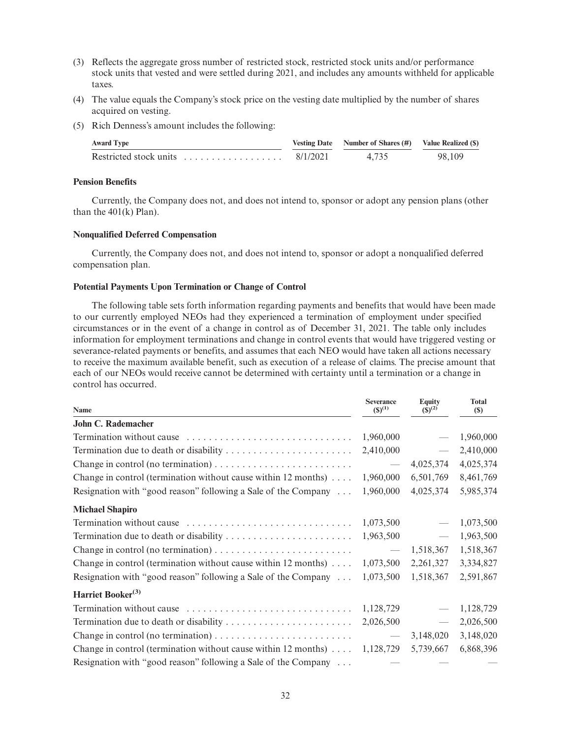- (3) Reflects the aggregate gross number of restricted stock, restricted stock units and/or performance stock units that vested and were settled during 2021, and includes any amounts withheld for applicable taxes.
- (4) The value equals the Company's stock price on the vesting date multiplied by the number of shares acquired on vesting.
- (5) Rich Denness's amount includes the following:

| <b>Award Type</b>                                       |          | Vesting Date Number of Shares (#) Value Realized (\$) |        |
|---------------------------------------------------------|----------|-------------------------------------------------------|--------|
| Restricted stock units $\ldots, \ldots, \ldots, \ldots$ | 8/1/2021 | 4.735                                                 | 98.109 |

### **Pension Benefits**

Currently, the Company does not, and does not intend to, sponsor or adopt any pension plans (other than the 401(k) Plan).

### **Nonqualified Deferred Compensation**

Currently, the Company does not, and does not intend to, sponsor or adopt a nonqualified deferred compensation plan.

#### **Potential Payments Upon Termination or Change of Control**

The following table sets forth information regarding payments and benefits that would have been made to our currently employed NEOs had they experienced a termination of employment under specified circumstances or in the event of a change in control as of December 31, 2021. The table only includes information for employment terminations and change in control events that would have triggered vesting or severance-related payments or benefits, and assumes that each NEO would have taken all actions necessary to receive the maximum available benefit, such as execution of a release of claims. The precise amount that each of our NEOs would receive cannot be determined with certainty until a termination or a change in control has occurred.

| Name                                                                                 | <b>Severance</b><br>$(S)^{(1)}$ | <b>Equity</b><br>$(S)^{(2)}$ | <b>Total</b><br>$(\$)$ |
|--------------------------------------------------------------------------------------|---------------------------------|------------------------------|------------------------|
| John C. Rademacher                                                                   |                                 |                              |                        |
| Termination without cause                                                            | 1,960,000                       |                              | 1,960,000              |
| Termination due to death or disability                                               | 2,410,000                       | $\overline{\phantom{m}}$     | 2,410,000              |
| Change in control (no termination) $\dots \dots \dots \dots \dots \dots \dots \dots$ | $\overbrace{\qquad \qquad }^{}$ | 4,025,374                    | 4,025,374              |
| Change in control (termination without cause within $12$ months)                     | 1,960,000                       | 6,501,769                    | 8,461,769              |
| Resignation with "good reason" following a Sale of the Company                       | 1,960,000                       | 4,025,374                    | 5,985,374              |
| <b>Michael Shapiro</b>                                                               |                                 |                              |                        |
| Termination without cause                                                            | 1,073,500                       |                              | 1,073,500              |
|                                                                                      | 1,963,500                       | $\overline{\phantom{m}}$     | 1,963,500              |
| Change in control (no termination) $\dots \dots \dots \dots \dots \dots \dots \dots$ | $\overline{\phantom{m}}$        | 1,518,367                    | 1,518,367              |
| Change in control (termination without cause within $12$ months)                     | 1,073,500                       | 2,261,327                    | 3,334,827              |
| Resignation with "good reason" following a Sale of the Company                       | 1,073,500                       | 1,518,367                    | 2,591,867              |
| Harriet Booker <sup>(3)</sup>                                                        |                                 |                              |                        |
| Termination without cause                                                            | 1,128,729                       |                              | 1,128,729              |
|                                                                                      | 2,026,500                       | $\overline{\phantom{m}}$     | 2,026,500              |
|                                                                                      | $\overline{\phantom{0}}$        | 3,148,020                    | 3,148,020              |
| Change in control (termination without cause within 12 months) $\dots$               | 1,128,729                       | 5,739,667                    | 6,868,396              |
| Resignation with "good reason" following a Sale of the Company                       |                                 |                              |                        |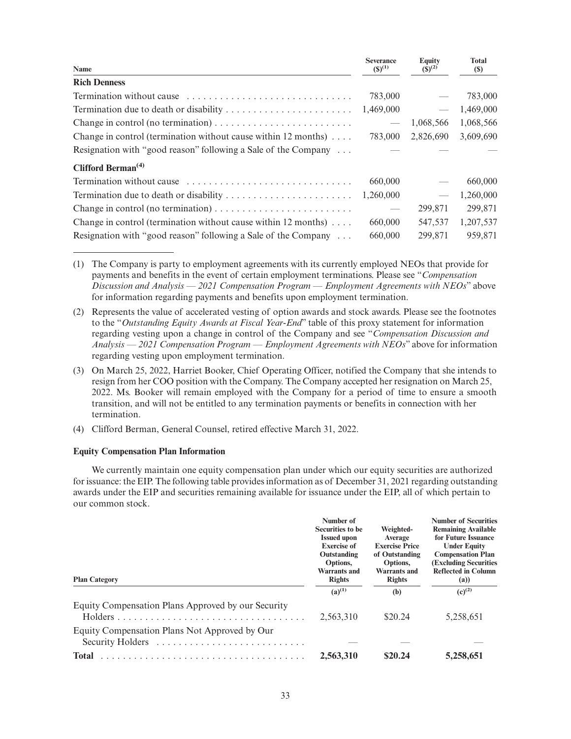| Name                                                                   | <b>Severance</b><br>$(S)^{(1)}$ | <b>Equity</b><br>$(S)^{(2)}$    | <b>Total</b><br>(S) |
|------------------------------------------------------------------------|---------------------------------|---------------------------------|---------------------|
| <b>Rich Denness</b>                                                    |                                 |                                 |                     |
|                                                                        | 783,000                         |                                 | 783,000             |
|                                                                        | 1,469,000                       | $\overbrace{\qquad \qquad }^{}$ | 1,469,000           |
|                                                                        |                                 | 1,068,566                       | 1,068,566           |
| Change in control (termination without cause within 12 months) $\dots$ | 783,000                         | 2,826,690                       | 3,609,690           |
| Resignation with "good reason" following a Sale of the Company         |                                 |                                 |                     |
| Clifford Berman <sup><math>(4)</math></sup>                            |                                 |                                 |                     |
| Termination without cause                                              | 660,000                         |                                 | 660,000             |
|                                                                        | 1,260,000                       |                                 | 1,260,000           |
|                                                                        |                                 | 299,871                         | 299,871             |
| Change in control (termination without cause within 12 months) $\dots$ | 660,000                         | 547,537                         | 1,207,537           |
| Resignation with "good reason" following a Sale of the Company         | 660,000                         | 299,871                         | 959,871             |

(1) The Company is party to employment agreements with its currently employed NEOs that provide for payments and benefits in the event of certain employment terminations. Please see "*Compensation Discussion and Analysis — 2021 Compensation Program — Employment Agreements with NEOs*" above for information regarding payments and benefits upon employment termination.

- (2) Represents the value of accelerated vesting of option awards and stock awards. Please see the footnotes to the "*Outstanding Equity Awards at Fiscal Year-End*" table of this proxy statement for information regarding vesting upon a change in control of the Company and see "*Compensation Discussion and Analysis — 2021 Compensation Program — Employment Agreements with NEOs*" above for information regarding vesting upon employment termination.
- (3) On March 25, 2022, Harriet Booker, Chief Operating Officer, notified the Company that she intends to resign from her COO position with the Company. The Company accepted her resignation on March 25, 2022. Ms. Booker will remain employed with the Company for a period of time to ensure a smooth transition, and will not be entitled to any termination payments or benefits in connection with her termination.
- (4) Clifford Berman, General Counsel, retired effective March 31, 2022.

## **Equity Compensation Plan Information**

We currently maintain one equity compensation plan under which our equity securities are authorized for issuance: the EIP. The following table provides information as of December 31, 2021 regarding outstanding awards under the EIP and securities remaining available for issuance under the EIP, all of which pertain to our common stock.

| <b>Plan Category</b>                                              | Number of<br>Securities to be<br><b>Issued upon</b><br><b>Exercise of</b><br>Outstanding<br>Options,<br><b>Warrants and</b><br><b>Rights</b> | Weighted-<br>Average<br><b>Exercise Price</b><br>of Outstanding<br>Options,<br>Warrants and<br><b>Rights</b> | <b>Number of Securities</b><br><b>Remaining Available</b><br>for Future Issuance<br><b>Under Equity</b><br><b>Compensation Plan</b><br><b>(Excluding Securities)</b><br><b>Reflected in Column</b><br>(a) |  |
|-------------------------------------------------------------------|----------------------------------------------------------------------------------------------------------------------------------------------|--------------------------------------------------------------------------------------------------------------|-----------------------------------------------------------------------------------------------------------------------------------------------------------------------------------------------------------|--|
|                                                                   | $(a)$ <sup>(1)</sup>                                                                                                                         | (b)                                                                                                          | $(c)^{(2)}$                                                                                                                                                                                               |  |
| Equity Compensation Plans Approved by our Security                | 2,563,310                                                                                                                                    | \$20.24                                                                                                      | 5,258,651                                                                                                                                                                                                 |  |
| Equity Compensation Plans Not Approved by Our<br>Security Holders |                                                                                                                                              |                                                                                                              |                                                                                                                                                                                                           |  |
| <b>Total</b>                                                      | 2,563,310                                                                                                                                    | \$20.24                                                                                                      | 5,258,651                                                                                                                                                                                                 |  |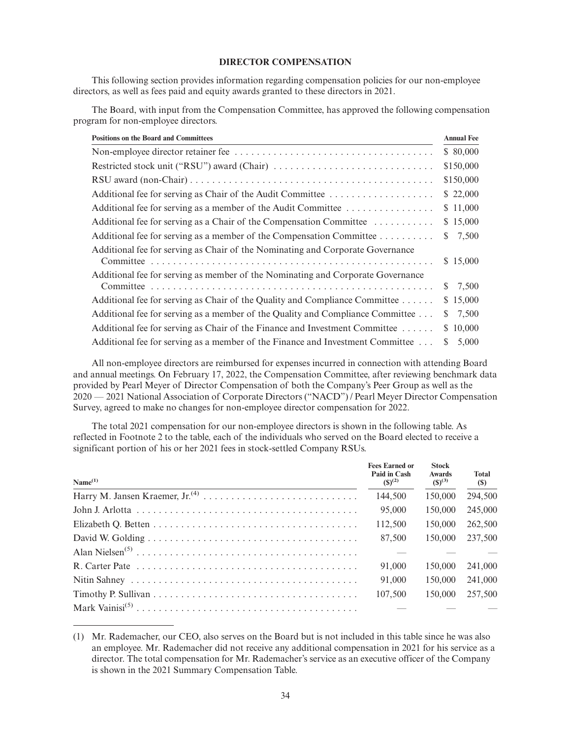### **DIRECTOR COMPENSATION**

This following section provides information regarding compensation policies for our non-employee directors, as well as fees paid and equity awards granted to these directors in 2021.

The Board, with input from the Compensation Committee, has approved the following compensation program for non-employee directors.

| <b>Positions on the Board and Committees</b>                                    | <b>Annual Fee</b> |
|---------------------------------------------------------------------------------|-------------------|
|                                                                                 | \$ 80,000         |
|                                                                                 | \$150,000         |
|                                                                                 | \$150,000         |
|                                                                                 | \$22,000          |
| Additional fee for serving as a member of the Audit Committee                   | \$11,000          |
| Additional fee for serving as a Chair of the Compensation Committee             | \$15,000          |
| Additional fee for serving as a member of the Compensation Committee            | 7,500<br>S.       |
| Additional fee for serving as Chair of the Nominating and Corporate Governance  |                   |
|                                                                                 | \$15,000          |
| Additional fee for serving as member of the Nominating and Corporate Governance |                   |
|                                                                                 | 7,500<br>S.       |
| Additional fee for serving as Chair of the Quality and Compliance Committee     | \$15,000          |
| Additional fee for serving as a member of the Quality and Compliance Committee  | 7,500<br>S.       |
| Additional fee for serving as Chair of the Finance and Investment Committee     | 10,000<br>S.      |
| Additional fee for serving as a member of the Finance and Investment Committee  | 5,000<br>S.       |

All non-employee directors are reimbursed for expenses incurred in connection with attending Board and annual meetings. On February 17, 2022, the Compensation Committee, after reviewing benchmark data provided by Pearl Meyer of Director Compensation of both the Company's Peer Group as well as the 2020 — 2021 National Association of Corporate Directors ("NACD") / Pearl Meyer Director Compensation Survey, agreed to make no changes for non-employee director compensation for 2022.

The total 2021 compensation for our non-employee directors is shown in the following table. As reflected in Footnote 2 to the table, each of the individuals who served on the Board elected to receive a significant portion of his or her 2021 fees in stock-settled Company RSUs.

| Name <sup>(1)</sup> | <b>Fees Earned or</b><br>Paid in Cash<br>$(S)^{(2)}$ | <b>Stock</b><br><b>Awards</b><br>$(S)^{(3)}$ | <b>Total</b><br>(\$) |
|---------------------|------------------------------------------------------|----------------------------------------------|----------------------|
|                     | 144,500                                              | 150,000                                      | 294,500              |
|                     | 95,000                                               | 150,000                                      | 245,000              |
|                     | 112,500                                              | 150,000                                      | 262,500              |
|                     | 87,500                                               | 150,000                                      | 237,500              |
|                     |                                                      |                                              |                      |
|                     | 91,000                                               | 150,000                                      | 241,000              |
|                     | 91,000                                               | 150,000                                      | 241,000              |
|                     | 107,500                                              | 150,000                                      | 257,500              |
|                     |                                                      |                                              |                      |

<sup>(1)</sup> Mr. Rademacher, our CEO, also serves on the Board but is not included in this table since he was also an employee. Mr. Rademacher did not receive any additional compensation in 2021 for his service as a director. The total compensation for Mr. Rademacher's service as an executive officer of the Company is shown in the 2021 Summary Compensation Table.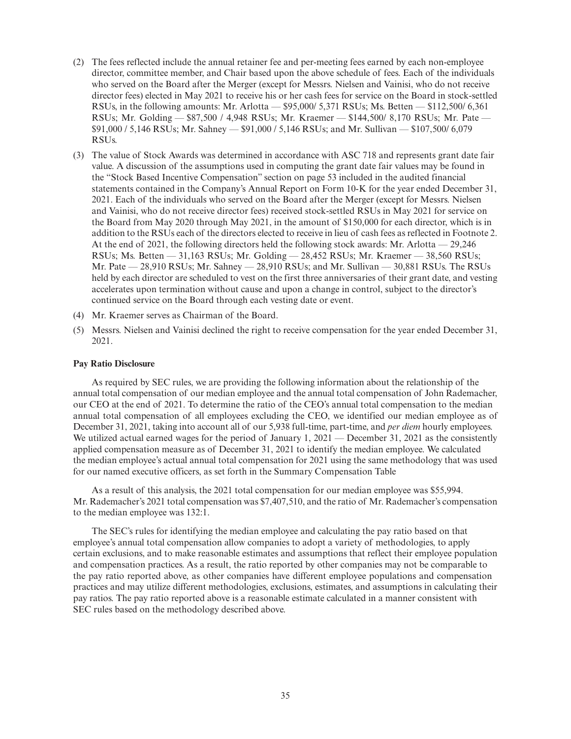- (2) The fees reflected include the annual retainer fee and per-meeting fees earned by each non-employee director, committee member, and Chair based upon the above schedule of fees. Each of the individuals who served on the Board after the Merger (except for Messrs. Nielsen and Vainisi, who do not receive director fees) elected in May 2021 to receive his or her cash fees for service on the Board in stock-settled RSUs, in the following amounts: Mr. Arlotta — \$95,000/ 5,371 RSUs; Ms. Betten — \$112,500/ 6,361 RSUs; Mr. Golding — \$87,500 / 4,948 RSUs; Mr. Kraemer — \$144,500/ 8,170 RSUs; Mr. Pate — \$91,000 / 5,146 RSUs; Mr. Sahney — \$91,000 / 5,146 RSUs; and Mr. Sullivan — \$107,500/ 6,079 RSUs.
- (3) The value of Stock Awards was determined in accordance with ASC 718 and represents grant date fair value. A discussion of the assumptions used in computing the grant date fair values may be found in the "Stock Based Incentive Compensation" section on page 53 included in the audited financial statements contained in the Company's Annual Report on Form 10-K for the year ended December 31, 2021. Each of the individuals who served on the Board after the Merger (except for Messrs. Nielsen and Vainisi, who do not receive director fees) received stock-settled RSUs in May 2021 for service on the Board from May 2020 through May 2021, in the amount of \$150,000 for each director, which is in addition to the RSUs each of the directors elected to receive in lieu of cash fees as reflected in Footnote 2. At the end of 2021, the following directors held the following stock awards: Mr. Arlotta — 29,246 RSUs; Ms. Betten — 31,163 RSUs; Mr. Golding — 28,452 RSUs; Mr. Kraemer — 38,560 RSUs; Mr. Pate — 28,910 RSUs; Mr. Sahney — 28,910 RSUs; and Mr. Sullivan — 30,881 RSUs. The RSUs held by each director are scheduled to vest on the first three anniversaries of their grant date, and vesting accelerates upon termination without cause and upon a change in control, subject to the director's continued service on the Board through each vesting date or event.
- (4) Mr. Kraemer serves as Chairman of the Board.
- (5) Messrs. Nielsen and Vainisi declined the right to receive compensation for the year ended December 31, 2021.

#### **Pay Ratio Disclosure**

As required by SEC rules, we are providing the following information about the relationship of the annual total compensation of our median employee and the annual total compensation of John Rademacher, our CEO at the end of 2021. To determine the ratio of the CEO's annual total compensation to the median annual total compensation of all employees excluding the CEO, we identified our median employee as of December 31, 2021, taking into account all of our 5,938 full-time, part-time, and *per diem* hourly employees. We utilized actual earned wages for the period of January 1, 2021 — December 31, 2021 as the consistently applied compensation measure as of December 31, 2021 to identify the median employee. We calculated the median employee's actual annual total compensation for 2021 using the same methodology that was used for our named executive officers, as set forth in the Summary Compensation Table

As a result of this analysis, the 2021 total compensation for our median employee was \$55,994. Mr. Rademacher's 2021 total compensation was \$7,407,510, and the ratio of Mr. Rademacher's compensation to the median employee was 132:1.

The SEC's rules for identifying the median employee and calculating the pay ratio based on that employee's annual total compensation allow companies to adopt a variety of methodologies, to apply certain exclusions, and to make reasonable estimates and assumptions that reflect their employee population and compensation practices. As a result, the ratio reported by other companies may not be comparable to the pay ratio reported above, as other companies have different employee populations and compensation practices and may utilize different methodologies, exclusions, estimates, and assumptions in calculating their pay ratios. The pay ratio reported above is a reasonable estimate calculated in a manner consistent with SEC rules based on the methodology described above.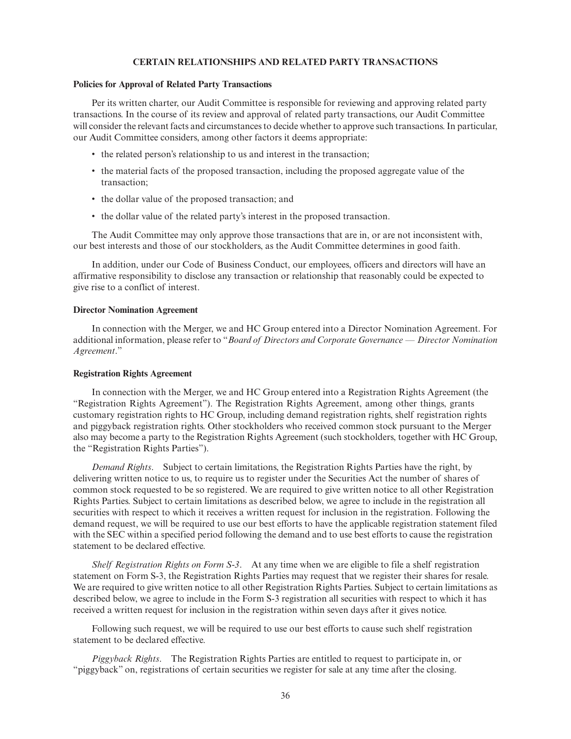### **CERTAIN RELATIONSHIPS AND RELATED PARTY TRANSACTIONS**

#### **Policies for Approval of Related Party Transactions**

Per its written charter, our Audit Committee is responsible for reviewing and approving related party transactions. In the course of its review and approval of related party transactions, our Audit Committee will consider the relevant facts and circumstances to decide whether to approve such transactions. In particular, our Audit Committee considers, among other factors it deems appropriate:

- the related person's relationship to us and interest in the transaction;
- the material facts of the proposed transaction, including the proposed aggregate value of the transaction;
- the dollar value of the proposed transaction; and
- the dollar value of the related party's interest in the proposed transaction.

The Audit Committee may only approve those transactions that are in, or are not inconsistent with, our best interests and those of our stockholders, as the Audit Committee determines in good faith.

In addition, under our Code of Business Conduct, our employees, officers and directors will have an affirmative responsibility to disclose any transaction or relationship that reasonably could be expected to give rise to a conflict of interest.

### **Director Nomination Agreement**

In connection with the Merger, we and HC Group entered into a Director Nomination Agreement. For additional information, please refer to "*Board of Directors and Corporate Governance — Director Nomination Agreement*."

#### **Registration Rights Agreement**

In connection with the Merger, we and HC Group entered into a Registration Rights Agreement (the "Registration Rights Agreement"). The Registration Rights Agreement, among other things, grants customary registration rights to HC Group, including demand registration rights, shelf registration rights and piggyback registration rights. Other stockholders who received common stock pursuant to the Merger also may become a party to the Registration Rights Agreement (such stockholders, together with HC Group, the "Registration Rights Parties").

*Demand Rights*. Subject to certain limitations, the Registration Rights Parties have the right, by delivering written notice to us, to require us to register under the Securities Act the number of shares of common stock requested to be so registered. We are required to give written notice to all other Registration Rights Parties. Subject to certain limitations as described below, we agree to include in the registration all securities with respect to which it receives a written request for inclusion in the registration. Following the demand request, we will be required to use our best efforts to have the applicable registration statement filed with the SEC within a specified period following the demand and to use best efforts to cause the registration statement to be declared effective.

*Shelf Registration Rights on Form S-3*. At any time when we are eligible to file a shelf registration statement on Form S-3, the Registration Rights Parties may request that we register their shares for resale. We are required to give written notice to all other Registration Rights Parties. Subject to certain limitations as described below, we agree to include in the Form S-3 registration all securities with respect to which it has received a written request for inclusion in the registration within seven days after it gives notice.

Following such request, we will be required to use our best efforts to cause such shelf registration statement to be declared effective.

*Piggyback Rights*. The Registration Rights Parties are entitled to request to participate in, or "piggyback" on, registrations of certain securities we register for sale at any time after the closing.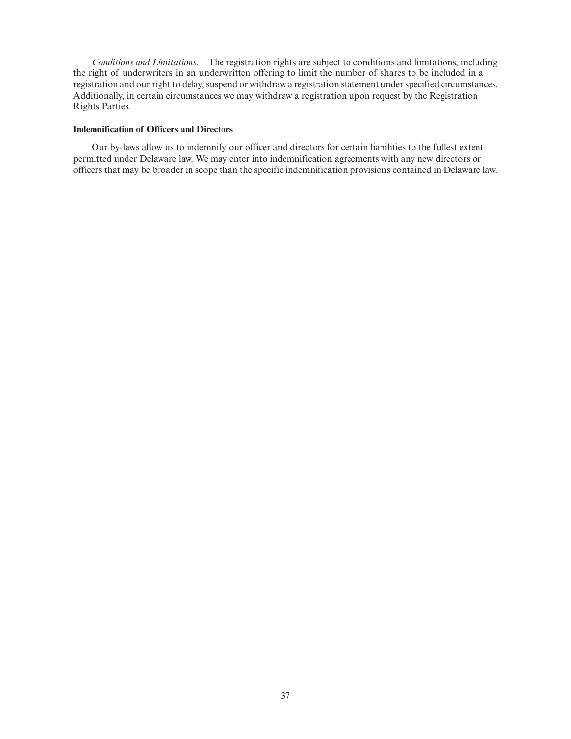*Conditions and Limitations*. The registration rights are subject to conditions and limitations, including the right of underwriters in an underwritten offering to limit the number of shares to be included in a registration and our right to delay, suspend or withdraw a registration statement under specified circumstances. Additionally, in certain circumstances we may withdraw a registration upon request by the Registration Rights Parties.

# **Indemnification of Officers and Directors**

Our by-laws allow us to indemnify our officer and directors for certain liabilities to the fullest extent permitted under Delaware law. We may enter into indemnification agreements with any new directors or officers that may be broader in scope than the specific indemnification provisions contained in Delaware law.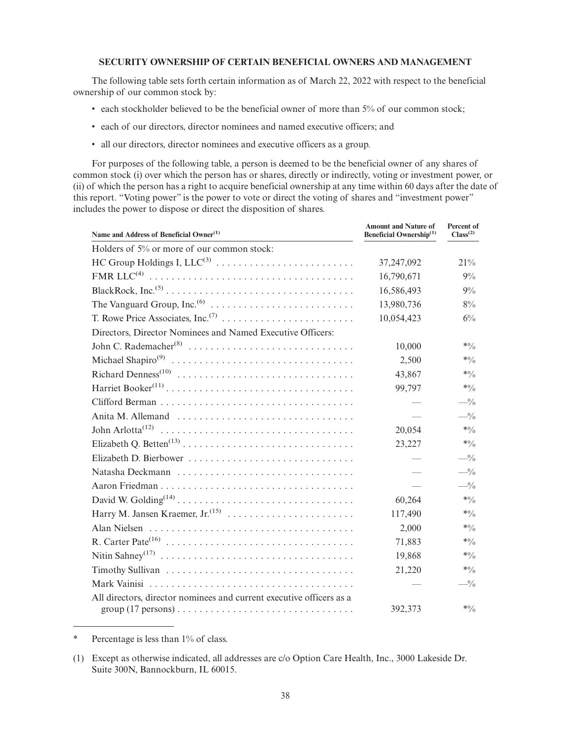## **SECURITY OWNERSHIP OF CERTAIN BENEFICIAL OWNERS AND MANAGEMENT**

The following table sets forth certain information as of March 22, 2022 with respect to the beneficial ownership of our common stock by:

- each stockholder believed to be the beneficial owner of more than 5% of our common stock;
- each of our directors, director nominees and named executive officers; and
- all our directors, director nominees and executive officers as a group.

For purposes of the following table, a person is deemed to be the beneficial owner of any shares of common stock (i) over which the person has or shares, directly or indirectly, voting or investment power, or (ii) of which the person has a right to acquire beneficial ownership at any time within 60 days after the date of this report. "Voting power" is the power to vote or direct the voting of shares and "investment power" includes the power to dispose or direct the disposition of shares.

| Name and Address of Beneficial Owner <sup>(1)</sup>                  | <b>Amount and Nature of</b><br>Beneficial Ownership <sup>(1)</sup> | Percent of<br>Class <sup>(2)</sup> |
|----------------------------------------------------------------------|--------------------------------------------------------------------|------------------------------------|
| Holders of 5% or more of our common stock:                           |                                                                    |                                    |
| HC Group Holdings I, $LLC^{(3)}$                                     | 37,247,092                                                         | 21%                                |
|                                                                      | 16,790,671                                                         | 9%                                 |
|                                                                      | 16,586,493                                                         | $9\%$                              |
|                                                                      | 13,980,736                                                         | 8%                                 |
|                                                                      | 10,054,423                                                         | $6\%$                              |
| Directors, Director Nominees and Named Executive Officers:           |                                                                    |                                    |
|                                                                      | 10,000                                                             | $*0/0$                             |
|                                                                      | 2,500                                                              | $*0/0$                             |
|                                                                      | 43,867                                                             | $*0/0$                             |
|                                                                      | 99,797                                                             | $*0/0$                             |
|                                                                      |                                                                    | $-$ %                              |
| Anita M. Allemand                                                    |                                                                    | $-$ %                              |
|                                                                      | 20,054                                                             | $*0/0$                             |
|                                                                      | 23,227                                                             | $*0/0$                             |
|                                                                      |                                                                    | $-$ %                              |
|                                                                      |                                                                    | $-$ %                              |
|                                                                      |                                                                    | $-$ %                              |
|                                                                      | 60,264                                                             | $*0/0$                             |
|                                                                      | 117,490                                                            | $*0/0$                             |
|                                                                      | 2,000                                                              | $*0/0$                             |
|                                                                      | 71,883                                                             | $*0/0$                             |
|                                                                      | 19,868                                                             | $*0/0$                             |
|                                                                      | 21,220                                                             | $*0/0$                             |
|                                                                      |                                                                    | $-$ %                              |
| All directors, director nominees and current executive officers as a |                                                                    |                                    |
|                                                                      | 392,373                                                            | $*0/0$                             |

\* Percentage is less than 1% of class.

<sup>(1)</sup> Except as otherwise indicated, all addresses are c/o Option Care Health, Inc., 3000 Lakeside Dr. Suite 300N, Bannockburn, IL 60015.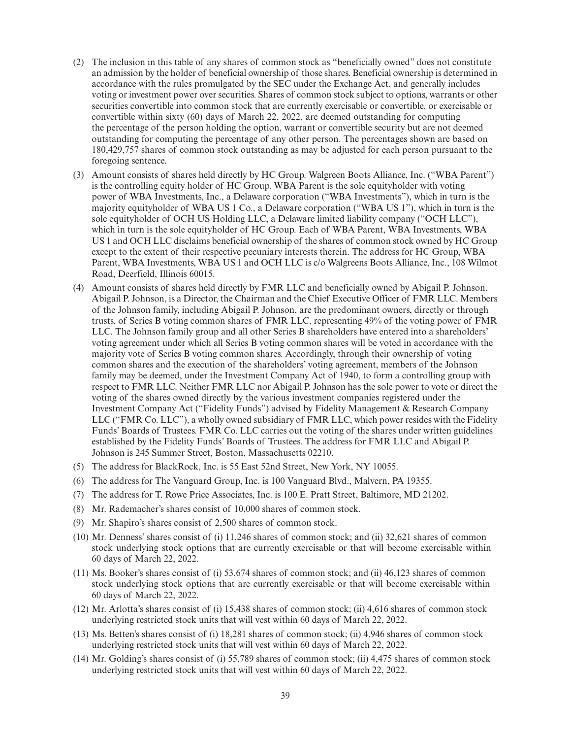- (2) The inclusion in this table of any shares of common stock as "beneficially owned" does not constitute an admission by the holder of beneficial ownership of those shares. Beneficial ownership is determined in accordance with the rules promulgated by the SEC under the Exchange Act, and generally includes voting or investment power over securities. Shares of common stock subject to options, warrants or other securities convertible into common stock that are currently exercisable or convertible, or exercisable or convertible within sixty (60) days of March 22, 2022, are deemed outstanding for computing the percentage of the person holding the option, warrant or convertible security but are not deemed outstanding for computing the percentage of any other person. The percentages shown are based on 180,429,757 shares of common stock outstanding as may be adjusted for each person pursuant to the foregoing sentence.
- (3) Amount consists of shares held directly by HC Group. Walgreen Boots Alliance, Inc. ("WBA Parent") is the controlling equity holder of HC Group. WBA Parent is the sole equityholder with voting power of WBA Investments, Inc., a Delaware corporation ("WBA Investments"), which in turn is the majority equityholder of WBA US 1 Co., a Delaware corporation ("WBA US 1"), which in turn is the sole equityholder of OCH US Holding LLC, a Delaware limited liability company ("OCH LLC"), which in turn is the sole equityholder of HC Group. Each of WBA Parent, WBA Investments, WBA US 1 and OCH LLC disclaims beneficial ownership of the shares of common stock owned by HC Group except to the extent of their respective pecuniary interests therein. The address for HC Group, WBA Parent, WBA Investments, WBA US 1 and OCH LLC is c/o Walgreens Boots Alliance, Inc., 108 Wilmot Road, Deerfield, Illinois 60015.
- (4) Amount consists of shares held directly by FMR LLC and beneficially owned by Abigail P. Johnson. Abigail P. Johnson, is a Director, the Chairman and the Chief Executive Officer of FMR LLC. Members of the Johnson family, including Abigail P. Johnson, are the predominant owners, directly or through trusts, of Series B voting common shares of FMR LLC, representing 49% of the voting power of FMR LLC. The Johnson family group and all other Series B shareholders have entered into a shareholders' voting agreement under which all Series B voting common shares will be voted in accordance with the majority vote of Series B voting common shares. Accordingly, through their ownership of voting common shares and the execution of the shareholders' voting agreement, members of the Johnson family may be deemed, under the Investment Company Act of 1940, to form a controlling group with respect to FMR LLC. Neither FMR LLC nor Abigail P. Johnson has the sole power to vote or direct the voting of the shares owned directly by the various investment companies registered under the Investment Company Act ("Fidelity Funds") advised by Fidelity Management & Research Company LLC ("FMR Co. LLC"), a wholly owned subsidiary of FMR LLC, which power resides with the Fidelity Funds' Boards of Trustees. FMR Co. LLC carries out the voting of the shares under written guidelines established by the Fidelity Funds' Boards of Trustees. The address for FMR LLC and Abigail P. Johnson is 245 Summer Street, Boston, Massachusetts 02210.
- (5) The address for BlackRock, Inc. is 55 East 52nd Street, New York, NY 10055.
- (6) The address for The Vanguard Group, Inc. is 100 Vanguard Blvd., Malvern, PA 19355.
- (7) The address for T. Rowe Price Associates, Inc. is 100 E. Pratt Street, Baltimore, MD 21202.
- (8) Mr. Rademacher's shares consist of 10,000 shares of common stock.
- (9) Mr. Shapiro's shares consist of 2,500 shares of common stock.
- (10) Mr. Denness' shares consist of (i) 11,246 shares of common stock; and (ii) 32,621 shares of common stock underlying stock options that are currently exercisable or that will become exercisable within 60 days of March 22, 2022.
- (11) Ms. Booker's shares consist of (i) 53,674 shares of common stock; and (ii) 46,123 shares of common stock underlying stock options that are currently exercisable or that will become exercisable within 60 days of March 22, 2022.
- (12) Mr. Arlotta's shares consist of (i) 15,438 shares of common stock; (ii) 4,616 shares of common stock underlying restricted stock units that will vest within 60 days of March 22, 2022.
- (13) Ms. Betten's shares consist of (i) 18,281 shares of common stock; (ii) 4,946 shares of common stock underlying restricted stock units that will vest within 60 days of March 22, 2022.
- (14) Mr. Golding's shares consist of (i) 55,789 shares of common stock; (ii) 4,475 shares of common stock underlying restricted stock units that will vest within 60 days of March 22, 2022.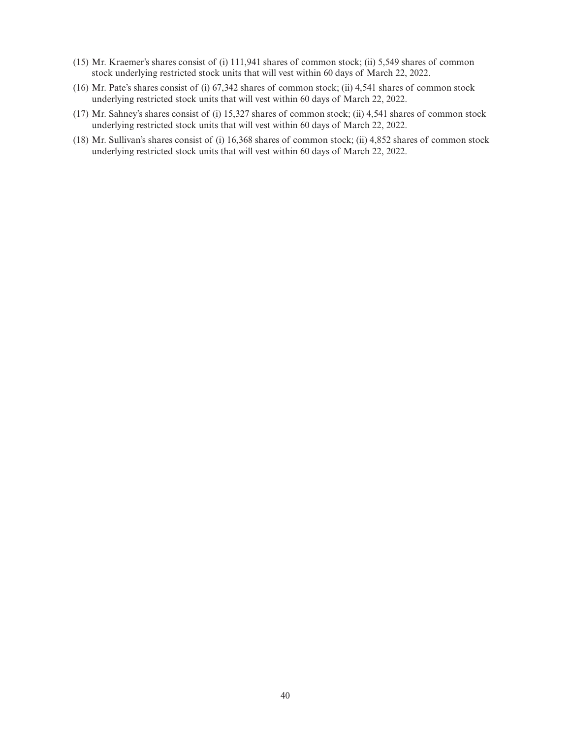- (15) Mr. Kraemer's shares consist of (i) 111,941 shares of common stock; (ii) 5,549 shares of common stock underlying restricted stock units that will vest within 60 days of March 22, 2022.
- (16) Mr. Pate's shares consist of (i) 67,342 shares of common stock; (ii) 4,541 shares of common stock underlying restricted stock units that will vest within 60 days of March 22, 2022.
- (17) Mr. Sahney's shares consist of (i) 15,327 shares of common stock; (ii) 4,541 shares of common stock underlying restricted stock units that will vest within 60 days of March 22, 2022.
- (18) Mr. Sullivan's shares consist of (i) 16,368 shares of common stock; (ii) 4,852 shares of common stock underlying restricted stock units that will vest within 60 days of March 22, 2022.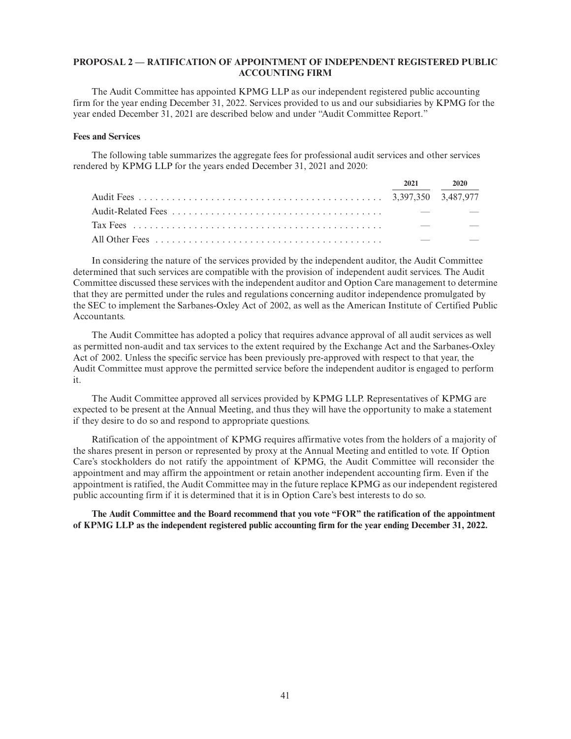### **PROPOSAL 2 — RATIFICATION OF APPOINTMENT OF INDEPENDENT REGISTERED PUBLIC ACCOUNTING FIRM**

The Audit Committee has appointed KPMG LLP as our independent registered public accounting firm for the year ending December 31, 2022. Services provided to us and our subsidiaries by KPMG for the year ended December 31, 2021 are described below and under "Audit Committee Report."

#### **Fees and Services**

The following table summarizes the aggregate fees for professional audit services and other services rendered by KPMG LLP for the years ended December 31, 2021 and 2020:

|  | 2021 2020 |
|--|-----------|
|  |           |
|  |           |
|  |           |
|  |           |

In considering the nature of the services provided by the independent auditor, the Audit Committee determined that such services are compatible with the provision of independent audit services. The Audit Committee discussed these services with the independent auditor and Option Care management to determine that they are permitted under the rules and regulations concerning auditor independence promulgated by the SEC to implement the Sarbanes-Oxley Act of 2002, as well as the American Institute of Certified Public Accountants.

The Audit Committee has adopted a policy that requires advance approval of all audit services as well as permitted non-audit and tax services to the extent required by the Exchange Act and the Sarbanes-Oxley Act of 2002. Unless the specific service has been previously pre-approved with respect to that year, the Audit Committee must approve the permitted service before the independent auditor is engaged to perform it.

The Audit Committee approved all services provided by KPMG LLP. Representatives of KPMG are expected to be present at the Annual Meeting, and thus they will have the opportunity to make a statement if they desire to do so and respond to appropriate questions.

Ratification of the appointment of KPMG requires affirmative votes from the holders of a majority of the shares present in person or represented by proxy at the Annual Meeting and entitled to vote. If Option Care's stockholders do not ratify the appointment of KPMG, the Audit Committee will reconsider the appointment and may affirm the appointment or retain another independent accounting firm. Even if the appointment is ratified, the Audit Committee may in the future replace KPMG as our independent registered public accounting firm if it is determined that it is in Option Care's best interests to do so.

**The Audit Committee and the Board recommend that you vote "FOR" the ratification of the appointment of KPMG LLP as the independent registered public accounting firm for the year ending December 31, 2022.**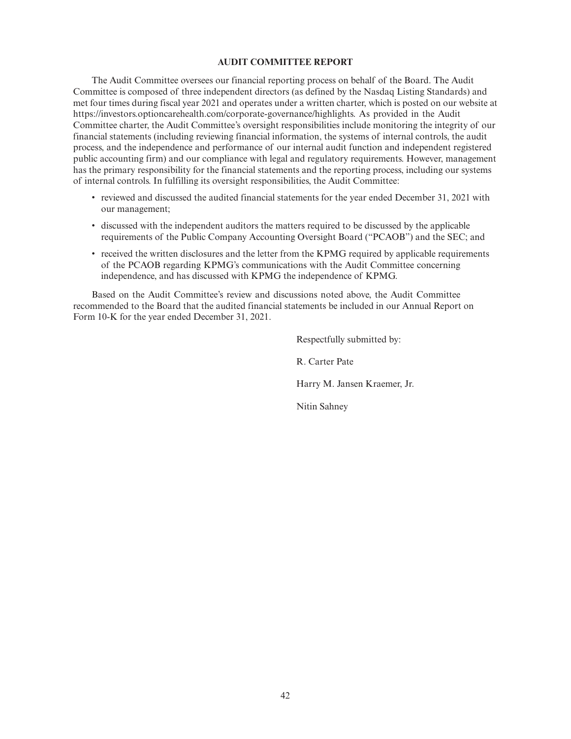### **AUDIT COMMITTEE REPORT**

The Audit Committee oversees our financial reporting process on behalf of the Board. The Audit Committee is composed of three independent directors (as defined by the Nasdaq Listing Standards) and met four times during fiscal year 2021 and operates under a written charter, which is posted on our website at https://investors.optioncarehealth.com/corporate-governance/highlights. As provided in the Audit Committee charter, the Audit Committee's oversight responsibilities include monitoring the integrity of our financial statements (including reviewing financial information, the systems of internal controls, the audit process, and the independence and performance of our internal audit function and independent registered public accounting firm) and our compliance with legal and regulatory requirements. However, management has the primary responsibility for the financial statements and the reporting process, including our systems of internal controls. In fulfilling its oversight responsibilities, the Audit Committee:

- reviewed and discussed the audited financial statements for the year ended December 31, 2021 with our management;
- discussed with the independent auditors the matters required to be discussed by the applicable requirements of the Public Company Accounting Oversight Board ("PCAOB") and the SEC; and
- received the written disclosures and the letter from the KPMG required by applicable requirements of the PCAOB regarding KPMG's communications with the Audit Committee concerning independence, and has discussed with KPMG the independence of KPMG.

Based on the Audit Committee's review and discussions noted above, the Audit Committee recommended to the Board that the audited financial statements be included in our Annual Report on Form 10-K for the year ended December 31, 2021.

> Respectfully submitted by: R. Carter Pate

Harry M. Jansen Kraemer, Jr.

Nitin Sahney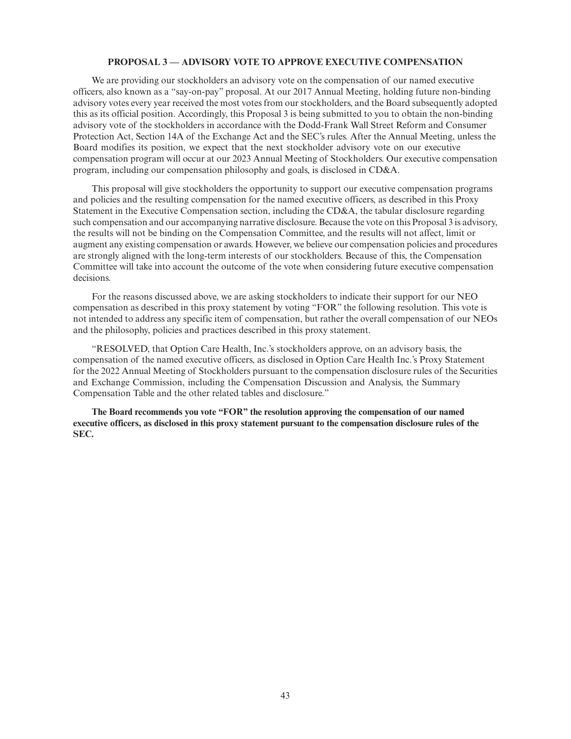#### **PROPOSAL 3 — ADVISORY VOTE TO APPROVE EXECUTIVE COMPENSATION**

We are providing our stockholders an advisory vote on the compensation of our named executive officers, also known as a "say-on-pay" proposal. At our 2017 Annual Meeting, holding future non-binding advisory votes every year received the most votes from our stockholders, and the Board subsequently adopted this as its official position. Accordingly, this Proposal 3 is being submitted to you to obtain the non-binding advisory vote of the stockholders in accordance with the Dodd-Frank Wall Street Reform and Consumer Protection Act, Section 14A of the Exchange Act and the SEC's rules. After the Annual Meeting, unless the Board modifies its position, we expect that the next stockholder advisory vote on our executive compensation program will occur at our 2023 Annual Meeting of Stockholders. Our executive compensation program, including our compensation philosophy and goals, is disclosed in CD&A.

This proposal will give stockholders the opportunity to support our executive compensation programs and policies and the resulting compensation for the named executive officers, as described in this Proxy Statement in the Executive Compensation section, including the CD&A, the tabular disclosure regarding such compensation and our accompanying narrative disclosure. Because the vote on this Proposal 3 is advisory, the results will not be binding on the Compensation Committee, and the results will not affect, limit or augment any existing compensation or awards. However, we believe our compensation policies and procedures are strongly aligned with the long-term interests of our stockholders. Because of this, the Compensation Committee will take into account the outcome of the vote when considering future executive compensation decisions.

For the reasons discussed above, we are asking stockholders to indicate their support for our NEO compensation as described in this proxy statement by voting "FOR" the following resolution. This vote is not intended to address any specific item of compensation, but rather the overall compensation of our NEOs and the philosophy, policies and practices described in this proxy statement.

"RESOLVED, that Option Care Health, Inc.'s stockholders approve, on an advisory basis, the compensation of the named executive officers, as disclosed in Option Care Health Inc.'s Proxy Statement for the 2022 Annual Meeting of Stockholders pursuant to the compensation disclosure rules of the Securities and Exchange Commission, including the Compensation Discussion and Analysis, the Summary Compensation Table and the other related tables and disclosure."

**The Board recommends you vote "FOR" the resolution approving the compensation of our named executive officers, as disclosed in this proxy statement pursuant to the compensation disclosure rules of the SEC.**